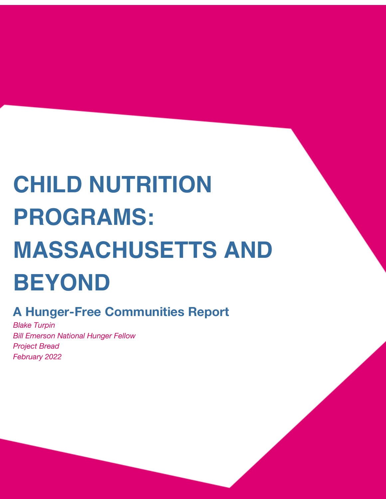# **CHILD NUTRITION PROGRAMS: MASSACHUSETTS AND BEYOND**

# **A Hunger-Free Communities Report**

*Blake Turpin Bill Emerson National Hunger Fellow Project Bread February 2022*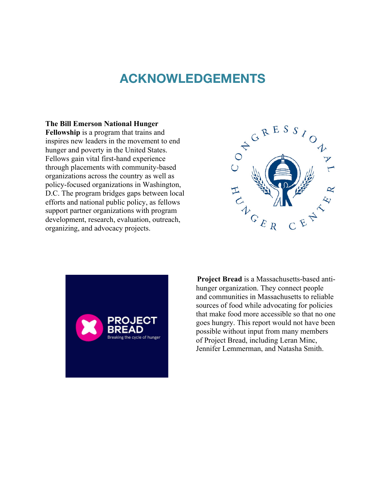## **ACKNOWLEDGEMENTS**

#### **The Bill Emerson National Hunger**

**Fellowship** is a program that trains and inspires new leaders in the movement to end hunger and poverty in the United States. Fellows gain vital first-hand experience through placements with community-based organizations across the country as well as policy-focused organizations in Washington, D.C. The program bridges gaps between local efforts and national public policy, as fellows support partner organizations with program development, research, evaluation, outreach, organizing, and advocacy projects.





**Project Bread** is a Massachusetts-based antihunger organization. They connect people and communities in Massachusetts to reliable sources of food while advocating for policies that make food more accessible so that no one goes hungry. This report would not have been possible without input from many members of Project Bread, including Leran Minc, Jennifer Lemmerman, and Natasha Smith.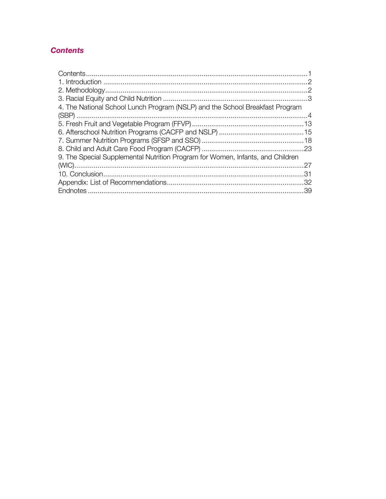## **Contents**

| 4. The National School Lunch Program (NSLP) and the School Breakfast Program   |  |
|--------------------------------------------------------------------------------|--|
|                                                                                |  |
|                                                                                |  |
|                                                                                |  |
|                                                                                |  |
|                                                                                |  |
| 9. The Special Supplemental Nutrition Program for Women, Infants, and Children |  |
|                                                                                |  |
|                                                                                |  |
|                                                                                |  |
|                                                                                |  |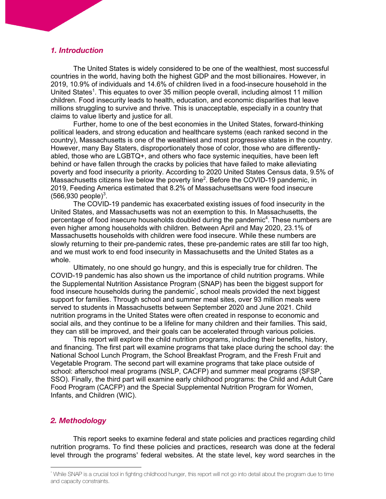#### *1. Introduction*

The United States is widely considered to be one of the wealthiest, most successful countries in the world, having both the highest GDP and the most billionaires. However, in 2019, 10.9% of individuals and 14.6% of children lived in a food-insecure household in the United States<sup>1</sup>. This equates to over 35 million people overall, including almost 11 million children. Food insecurity leads to health, education, and economic disparities that leave millions struggling to survive and thrive. This is unacceptable, especially in a country that claims to value liberty and justice for all.

Further, home to one of the best economies in the United States, forward-thinking political leaders, and strong education and healthcare systems (each ranked second in the country), Massachusetts is one of the wealthiest and most progressive states in the country. However, many Bay Staters, disproportionately those of color, those who are differentlyabled, those who are LGBTQ+, and others who face systemic inequities, have been left behind or have fallen through the cracks by policies that have failed to make alleviating poverty and food insecurity a priority. According to 2020 United States Census data, 9.5% of Massachusetts citizens live below the poverty line<sup>2</sup>. Before the COVID-19 pandemic, in 2019, Feeding America estimated that 8.2% of Massachusettsans were food insecure  $(566, 930 \text{ people})^3$ .

The COVID-19 pandemic has exacerbated existing issues of food insecurity in the United States, and Massachusetts was not an exemption to this. In Massachusetts, the percentage of food insecure households doubled during the pandemic<sup>4</sup>. These numbers are even higher among households with children. Between April and May 2020, 23.1% of Massachusetts households with children were food insecure. While these numbers are slowly returning to their pre-pandemic rates, these pre-pandemic rates are still far too high, and we must work to end food insecurity in Massachusetts and the United States as a whole.

Ultimately, no one should go hungry, and this is especially true for children. The COVID-19 pandemic has also shown us the importance of child nutrition programs. While the Supplemental Nutrition Assistance Program (SNAP) has been the biggest support for food insecure households during the pandemic<sup>\*</sup>, school meals provided the next biggest support for families. Through school and summer meal sites, over 93 million meals were served to students in Massachusetts between September 2020 and June 2021. Child nutrition programs in the United States were often created in response to economic and social ails, and they continue to be a lifeline for many children and their families. This said, they can still be improved, and their goals can be accelerated through various policies.

This report will explore the child nutrition programs, including their benefits, history, and financing. The first part will examine programs that take place during the school day: the National School Lunch Program, the School Breakfast Program, and the Fresh Fruit and Vegetable Program. The second part will examine programs that take place outside of school: afterschool meal programs (NSLP, CACFP) and summer meal programs (SFSP, SSO). Finally, the third part will examine early childhood programs: the Child and Adult Care Food Program (CACFP) and the Special Supplemental Nutrition Program for Women, Infants, and Children (WIC).

#### *2. Methodology*

This report seeks to examine federal and state policies and practices regarding child nutrition programs. To find these policies and practices, research was done at the federal level through the programs' federal websites. At the state level, key word searches in the

<sup>\*</sup> While SNAP is a crucial tool in fighting childhood hunger, this report will not go into detail about the program due to time and capacity constraints.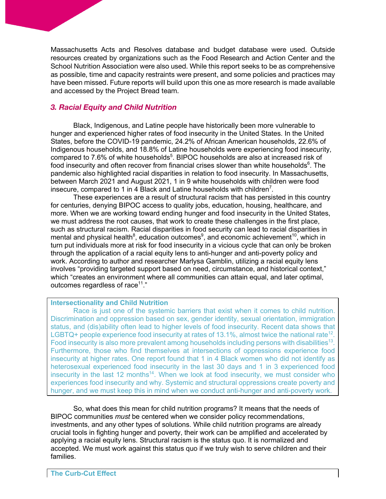Massachusetts Acts and Resolves database and budget database were used. Outside resources created by organizations such as the Food Research and Action Center and the School Nutrition Association were also used. While this report seeks to be as comprehensive as possible, time and capacity restraints were present, and some policies and practices may have been missed. Future reports will build upon this one as more research is made available and accessed by the Project Bread team.

## *3. Racial Equity and Child Nutrition*

Black, Indigenous, and Latine people have historically been more vulnerable to hunger and experienced higher rates of food insecurity in the United States. In the United States, before the COVID-19 pandemic, 24.2% of African American households, 22.6% of Indigenous households, and 18.8% of Latine households were experiencing food insecurity, compared to 7.6% of white households<sup>5</sup>. BIPOC households are also at increased risk of food insecurity and often recover from financial crises slower than white households $6$ . The pandemic also highlighted racial disparities in relation to food insecurity. In Massachusetts, between March 2021 and August 2021, 1 in 9 white households with children were food insecure, compared to 1 in 4 Black and Latine households with children<sup>7</sup>.

These experiences are a result of structural racism that has persisted in this country for centuries, denying BIPOC access to quality jobs, education, housing, healthcare, and more. When we are working toward ending hunger and food insecurity in the United States, we must address the root causes, that work to create these challenges in the first place, such as structural racism. Racial disparities in food security can lead to racial disparities in mental and physical health<sup>8</sup>, education outcomes<sup>9</sup>, and economic achievement<sup>10</sup>, which in turn put individuals more at risk for food insecurity in a vicious cycle that can only be broken through the application of a racial equity lens to anti-hunger and anti-poverty policy and work. According to author and researcher Marlysa Gamblin, utilizing a racial equity lens involves "providing targeted support based on need, circumstance, and historical context," which "creates an environment where all communities can attain equal, and later optimal, outcomes regardless of race $11$ ."

#### **Intersectionality and Child Nutrition**

Race is just one of the systemic barriers that exist when it comes to child nutrition. Discrimination and oppression based on sex, gender identity, sexual orientation, immigration status, and (dis)ability often lead to higher levels of food insecurity. Recent data shows that LGBTQ+ people experience food insecurity at rates of 13.1%, almost twice the national rate<sup>12</sup>. Food insecurity is also more prevalent among households including persons with disabilities<sup>13</sup>. Furthermore, those who find themselves at intersections of oppressions experience food insecurity at higher rates. One report found that 1 in 4 Black women who did not identify as heterosexual experienced food insecurity in the last 30 days and 1 in 3 experienced food insecurity in the last 12 months<sup>14</sup>. When we look at food insecurity, we must consider who experiences food insecurity and why. Systemic and structural oppressions create poverty and hunger, and we must keep this in mind when we conduct anti-hunger and anti-poverty work.

So, what does this mean for child nutrition programs? It means that the needs of BIPOC communities *must* be centered when we consider policy recommendations, investments, and any other types of solutions. While child nutrition programs are already crucial tools in fighting hunger and poverty, their work can be amplified and accelerated by applying a racial equity lens. Structural racism is the status quo. It is normalized and accepted. We must work against this status quo if we truly wish to serve children and their families.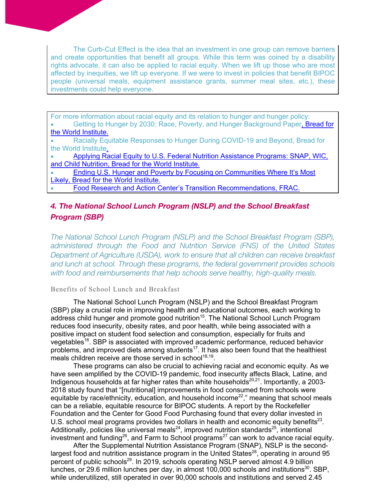The Curb-Cut Effect is the idea that an investment in one group can remove barriers and create opportunities that benefit all groups. While this term was coined by a disability rights advocate, it can also be applied to racial equity. When we lift up those who are most affected by inequities, we lift up everyone. If we were to invest in policies that benefit BIPOC people (universal meals, equipment assistance grants, summer meal sites, etc.), these investments could help everyone.

For more information about racial equity and its relation to hunger and hunger policy: Getting to Hunger by 2030: Race, Poverty, and Hunger Background Paper, Bread for the World Institute.

• Racially Equitable Responses to Hunger During COVID-19 and Beyond, Bread for the World Institute.

• Applying Racial Equity to U.S. Federal Nutrition Assistance Programs: SNAP, WIC, and Child Nutrition, Bread for the World Institute.

• Ending U.S. Hunger and Poverty by Focusing on Communities Where It's Most Likely, Bread for the World Institute.

• Food Research and Action Center's Transition Recommendations, FRAC.

## *4. The National School Lunch Program (NSLP) and the School Breakfast Program (SBP)*

*The National School Lunch Program (NSLP) and the School Breakfast Program (SBP), administered through the Food and Nutrition Service (FNS) of the United States Department of Agriculture (USDA), work to ensure that all children can receive breakfast and lunch at school. Through these programs, the federal government provides schools with food and reimbursements that help schools serve healthy, high-quality meals.*

### Benefits of School Lunch and Breakfast

The National School Lunch Program (NSLP) and the School Breakfast Program (SBP) play a crucial role in improving health and educational outcomes, each working to address child hunger and promote good nutrition<sup>15</sup>. The National School Lunch Program reduces food insecurity, obesity rates, and poor health, while being associated with a positive impact on student food selection and consumption, especially for fruits and vegetables<sup>16</sup>. SBP is associated with improved academic performance, reduced behavior problems, and improved diets among students<sup>17</sup>. It has also been found that the healthiest meals children receive are those served in school<sup>18,19</sup>.

These programs can also be crucial to achieving racial and economic equity. As we have seen amplified by the COVID-19 pandemic, food insecurity affects Black, Latine, and Indigenous households at far higher rates than white households $^{20,21}$ . Importantly, a 2003-2018 study found that "[nutritional] improvements in food consumed from schools were equitable by race/ethnicity, education, and household income<sup>22</sup>," meaning that school meals can be a reliable, equitable resource for BIPOC students. A report by the Rockefeller Foundation and the Center for Good Food Purchasing found that every dollar invested in U.S. school meal programs provides two dollars in health and economic equity benefits<sup>23</sup>. Additionally, policies like universal meals<sup>24</sup>, improved nutrition standards<sup>25</sup>, intentional investment and funding<sup>26</sup>, and Farm to School programs<sup>27</sup> can work to advance racial equity.

After the Supplemental Nutrition Assistance Program (SNAP), NSLP is the secondlargest food and nutrition assistance program in the United States<sup>28</sup>, operating in around 95 percent of public schools<sup>29</sup>. In 2019, schools operating NSLP served almost 4.9 billion lunches, or 29.6 million lunches per day, in almost 100,000 schools and institutions<sup>30</sup>. SBP, while underutilized, still operated in over 90,000 schools and institutions and served 2.45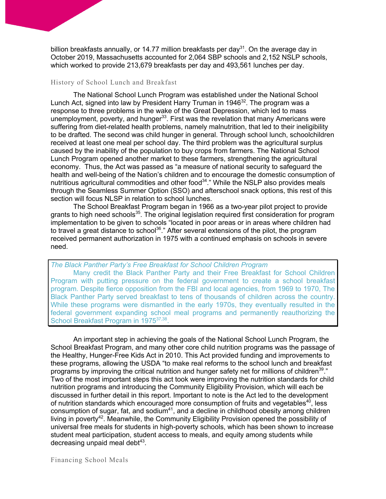billion breakfasts annually, or 14.77 million breakfasts per day<sup>31</sup>. On the average day in October 2019, Massachusetts accounted for 2,064 SBP schools and 2,152 NSLP schools, which worked to provide 213,679 breakfasts per day and 493,561 lunches per day.

#### History of School Lunch and Breakfast

The National School Lunch Program was established under the National School Lunch Act, signed into law by President Harry Truman in 1946 $32$ . The program was a response to three problems in the wake of the Great Depression, which led to mass unemployment, poverty, and hunger<sup>33</sup>. First was the revelation that many Americans were suffering from diet-related health problems, namely malnutrition, that led to their ineligibility to be drafted. The second was child hunger in general. Through school lunch, schoolchildren received at least one meal per school day. The third problem was the agricultural surplus caused by the inability of the population to buy crops from farmers. The National School Lunch Program opened another market to these farmers, strengthening the agricultural economy. Thus, the Act was passed as "a measure of national security to safeguard the health and well-being of the Nation's children and to encourage the domestic consumption of nutritious agricultural commodities and other food<sup>34</sup>." While the NSLP also provides meals through the Seamless Summer Option (SSO) and afterschool snack options, this rest of this section will focus NLSP in relation to school lunches.

The School Breakfast Program began in 1966 as a two-year pilot project to provide grants to high need schools<sup>35</sup>. The original legislation required first consideration for program implementation to be given to schools "located in poor areas or in areas where children had to travel a great distance to school<sup>36</sup>." After several extensions of the pilot, the program received permanent authorization in 1975 with a continued emphasis on schools in severe need.

*The Black Panther Party's Free Breakfast for School Children Program*

Many credit the Black Panther Party and their Free Breakfast for School Children Program with putting pressure on the federal government to create a school breakfast program. Despite fierce opposition from the FBI and local agencies, from 1969 to 1970, The Black Panther Party served breakfast to tens of thousands of children across the country. While these programs were dismantled in the early 1970s, they eventually resulted in the federal government expanding school meal programs and permanently reauthorizing the School Breakfast Program in 1975<sup>37,38</sup>.

An important step in achieving the goals of the National School Lunch Program, the School Breakfast Program, and many other core child nutrition programs was the passage of the Healthy, Hunger-Free Kids Act in 2010. This Act provided funding and improvements to these programs, allowing the USDA "to make real reforms to the school lunch and breakfast programs by improving the critical nutrition and hunger safety net for millions of children<sup>39</sup>." Two of the most important steps this act took were improving the nutrition standards for child nutrition programs and introducing the Community Eligibility Provision, which will each be discussed in further detail in this report. Important to note is the Act led to the development of nutrition standards which encouraged more consumption of fruits and vegetables<sup>40</sup>, less consumption of sugar, fat, and sodium<sup>41</sup>, and a decline in childhood obesity among children living in poverty<sup>42</sup>. Meanwhile, the Community Eligibility Provision opened the possibility of universal free meals for students in high-poverty schools, which has been shown to increase student meal participation, student access to meals, and equity among students while decreasing unpaid meal debt $43$ .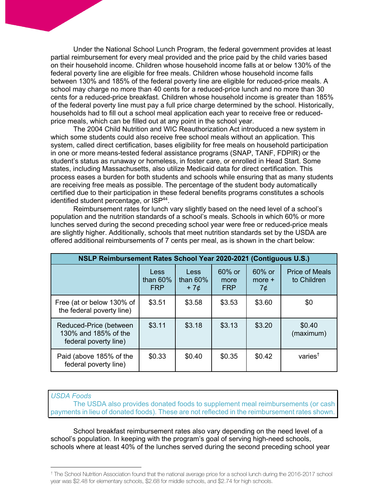Under the National School Lunch Program, the federal government provides at least partial reimbursement for every meal provided and the price paid by the child varies based on their household income. Children whose household income falls at or below 130% of the federal poverty line are eligible for free meals. Children whose household income falls between 130% and 185% of the federal poverty line are eligible for reduced-price meals. A school may charge no more than 40 cents for a reduced-price lunch and no more than 30 cents for a reduced-price breakfast. Children whose household income is greater than 185% of the federal poverty line must pay a full price charge determined by the school. Historically, households had to fill out a school meal application each year to receive free or reducedprice meals, which can be filled out at any point in the school year.

The 2004 Child Nutrition and WIC Reauthorization Act introduced a new system in which some students could also receive free school meals without an application. This system, called direct certification, bases eligibility for free meals on household participation in one or more means-tested federal assistance programs (SNAP, TANF, FDPIR) or the student's status as runaway or homeless, in foster care, or enrolled in Head Start. Some states, including Massachusetts, also utilize Medicaid data for direct certification. This process eases a burden for both students and schools while ensuring that as many students are receiving free meals as possible. The percentage of the student body automatically certified due to their participation in these federal benefits programs constitutes a schools identified student percentage, or ISP<sup>44</sup>.

Reimbursement rates for lunch vary slightly based on the need level of a school's population and the nutrition standards of a school's meals. Schools in which 60% or more lunches served during the second preceding school year were free or reduced-price meals are slightly higher. Additionally, schools that meet nutrition standards set by the USDA are offered additional reimbursements of 7 cents per meal, as is shown in the chart below:

| NSLP Reimbursement Rates School Year 2020-2021 (Contiguous U.S.)        |                                   |                              |                                 |                             |                                        |
|-------------------------------------------------------------------------|-----------------------------------|------------------------------|---------------------------------|-----------------------------|----------------------------------------|
|                                                                         | Less<br>than $60\%$<br><b>FRP</b> | Less<br>than $60\%$<br>$+7¢$ | $60\%$ or<br>more<br><b>FRP</b> | $60\%$ or<br>$more +$<br>7¢ | <b>Price of Meals</b><br>to Children   |
| Free (at or below 130% of<br>the federal poverty line)                  | \$3.51                            | \$3.58                       | \$3.53                          | \$3.60                      | \$0                                    |
| Reduced-Price (between<br>130% and 185% of the<br>federal poverty line) | \$3.11                            | \$3.18                       | \$3.13                          | \$3.20                      | \$0.40<br>(maximum)                    |
| Paid (above 185% of the<br>federal poverty line)                        | \$0.33                            | \$0.40                       | \$0.35                          | \$0.42                      | varies <sup><math>\dagger</math></sup> |

*USDA Foods*

The USDA also provides donated foods to supplement meal reimbursements (or cash payments in lieu of donated foods). These are not reflected in the reimbursement rates shown.

School breakfast reimbursement rates also vary depending on the need level of a school's population. In keeping with the program's goal of serving high-need schools, schools where at least 40% of the lunches served during the second preceding school year

<sup>†</sup> The School Nutrition Association found that the national average price for a school lunch during the 2016-2017 school year was \$2.48 for elementary schools, \$2.68 for middle schools, and \$2.74 for high schools.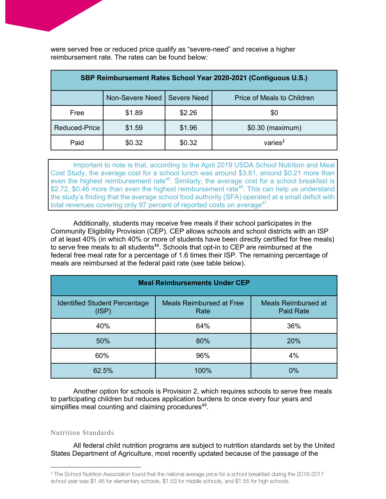were served free or reduced price qualify as "severe-need" and receive a higher reimbursement rate. The rates can be found below:

| SBP Reimbursement Rates School Year 2020-2021 (Contiguous U.S.) |                               |        |                            |  |
|-----------------------------------------------------------------|-------------------------------|--------|----------------------------|--|
|                                                                 | Non-Severe Need   Severe Need |        | Price of Meals to Children |  |
| Free                                                            | \$1.89                        | \$2.26 | \$0                        |  |
| <b>Reduced-Price</b>                                            | \$1.59                        | \$1.96 | \$0.30 (maximum)           |  |
| Paid                                                            | \$0.32                        | \$0.32 | varies $‡$                 |  |

Important to note is that, according to the April 2019 USDA School Nutrition and Meal Cost Study, the average cost for a school lunch was around \$3.81, around \$0.21 more than even the highest reimbursement rate<sup>45</sup>. Similarly, the average cost for a school breakfast is \$2.72, \$0.46 more than even the highest reimbursement rate<sup>46</sup>. This can help us understand the study's finding that the average school food authority (SFA) operated at a small deficit with total revenues covering only 97 percent of reported costs on average<sup>47</sup>.

Additionally, students may receive free meals if their school participates in the Community Eligibility Provision (CEP). CEP allows schools and school districts with an ISP of at least 40% (in which 40% or more of students have been directly certified for free meals) to serve free meals to all students<sup>48</sup>. Schools that opt-in to CEP are reimbursed at the federal free meal rate for a percentage of 1.6 times their ISP. The remaining percentage of meals are reimbursed at the federal paid rate (see table below).

| <b>Meal Reimbursements Under CEP</b>          |                                         |                                                |  |  |  |
|-----------------------------------------------|-----------------------------------------|------------------------------------------------|--|--|--|
| <b>Identified Student Percentage</b><br>(ISP) | <b>Meals Reimbursed at Free</b><br>Rate | <b>Meals Reimbursed at</b><br><b>Paid Rate</b> |  |  |  |
| 40%                                           | 64%                                     | 36%                                            |  |  |  |
| 50%                                           | 80%                                     | 20%                                            |  |  |  |
| 60%                                           | 96%                                     | 4%                                             |  |  |  |
| 62.5%                                         | 100%                                    | 0%                                             |  |  |  |

Another option for schools is Provision 2, which requires schools to serve free meals to participating children but reduces application burdens to once every four years and simplifies meal counting and claiming procedures<sup>49</sup>.

#### Nutrition Standards

All federal child nutrition programs are subject to nutrition standards set by the United States Department of Agriculture, most recently updated because of the passage of the

<sup>‡</sup> The School Nutrition Association found that the national average price for a school breakfast during the 2016-2017 school year was \$1.46 for elementary schools, \$1.53 for middle schools, and \$1.55 for high schools.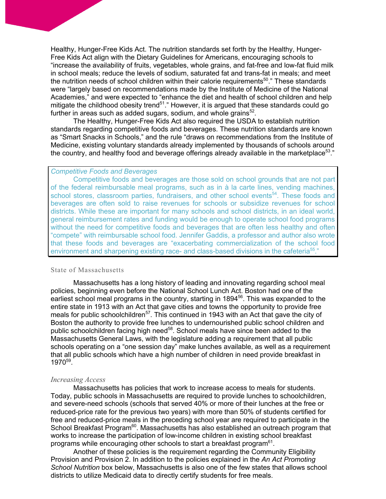Healthy, Hunger-Free Kids Act. The nutrition standards set forth by the Healthy, Hunger-Free Kids Act align with the Dietary Guidelines for Americans, encouraging schools to "increase the availability of fruits, vegetables, whole grains, and fat-free and low-fat fluid milk in school meals; reduce the levels of sodium, saturated fat and trans-fat in meals; and meet the nutrition needs of school children within their calorie requirements<sup>50</sup>." These standards were "largely based on recommendations made by the Institute of Medicine of the National Academies," and were expected to "enhance the diet and health of school children and help mitigate the childhood obesity trend<sup>51</sup>." However, it is argued that these standards could go further in areas such as added sugars, sodium, and whole grains $52$ .

The Healthy, Hunger-Free Kids Act also required the USDA to establish nutrition standards regarding competitive foods and beverages. These nutrition standards are known as "Smart Snacks in Schools," and the rule "draws on recommendations from the Institute of Medicine, existing voluntary standards already implemented by thousands of schools around the country, and healthy food and beverage offerings already available in the marketplace<sup>53</sup>."

#### *Competitive Foods and Beverages*

Competitive foods and beverages are those sold on school grounds that are not part of the federal reimbursable meal programs, such as in à la carte lines, vending machines, school stores, classroom parties, fundraisers, and other school events<sup>54</sup>. These foods and beverages are often sold to raise revenues for schools or subsidize revenues for school districts. While these are important for many schools and school districts, in an ideal world, general reimbursement rates and funding would be enough to operate school food programs without the need for competitive foods and beverages that are often less healthy and often "compete" with reimbursable school food. Jennifer Gaddis, a professor and author also wrote that these foods and beverages are "exacerbating commercialization of the school food environment and sharpening existing race- and class-based divisions in the cafeteria<sup>55</sup>."

#### State of Massachusetts

Massachusetts has a long history of leading and innovating regarding school meal policies, beginning even before the National School Lunch Act. Boston had one of the earliest school meal programs in the country, starting in 1894<sup>56</sup>. This was expanded to the entire state in 1913 with an Act that gave cities and towns the opportunity to provide free meals for public schoolchildren<sup>57</sup>. This continued in 1943 with an Act that gave the city of Boston the authority to provide free lunches to undernourished public school children and public schoolchildren facing high need<sup>58</sup>. School meals have since been added to the Massachusetts General Laws, with the legislature adding a requirement that all public schools operating on a "one session day" make lunches available, as well as a requirement that all public schools which have a high number of children in need provide breakfast in 197059.

#### *Increasing Access*

Massachusetts has policies that work to increase access to meals for students. Today, public schools in Massachusetts are required to provide lunches to schoolchildren, and severe-need schools (schools that served 40% or more of their lunches at the free or reduced-price rate for the previous two years) with more than 50% of students certified for free and reduced-price meals in the preceding school year are required to participate in the School Breakfast Program<sup>60</sup>. Massachusetts has also established an outreach program that works to increase the participation of low-income children in existing school breakfast programs while encouraging other schools to start a breakfast program $<sup>61</sup>$ .</sup>

Another of these policies is the requirement regarding the Community Eligibility Provision and Provision 2. In addition to the policies explained in the *An Act Promoting School Nutrition* box below, Massachusetts is also one of the few states that allows school districts to utilize Medicaid data to directly certify students for free meals.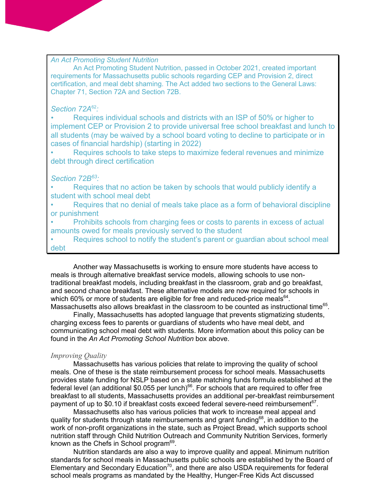## *An Act Promoting Student Nutrition*

An Act Promoting Student Nutrition, passed in October 2021, created important requirements for Massachusetts public schools regarding CEP and Provision 2, direct certification, and meal debt shaming. The Act added two sections to the General Laws: Chapter 71, Section 72A and Section 72B.

#### *Section 72A*<sup>62</sup>*:*

*•* Requires individual schools and districts with an ISP of 50% or higher to implement CEP or Provision 2 to provide universal free school breakfast and lunch to all students (may be waived by a school board voting to decline to participate or in cases of financial hardship) (starting in 2022)

• Requires schools to take steps to maximize federal revenues and minimize debt through direct certification

## *Section 72B63:*

• Requires that no action be taken by schools that would publicly identify a student with school meal debt

• Requires that no denial of meals take place as a form of behavioral discipline or punishment

• Prohibits schools from charging fees or costs to parents in excess of actual amounts owed for meals previously served to the student

• Requires school to notify the student's parent or guardian about school meal debt

Another way Massachusetts is working to ensure more students have access to meals is through alternative breakfast service models, allowing schools to use nontraditional breakfast models, including breakfast in the classroom, grab and go breakfast, and second chance breakfast. These alternative models are now required for schools in which 60% or more of students are eligible for free and reduced-price meals $^{64}$ . Massachusetts also allows breakfast in the classroom to be counted as instructional time<sup>65</sup>.

Finally, Massachusetts has adopted language that prevents stigmatizing students, charging excess fees to parents or guardians of students who have meal debt, and communicating school meal debt with students. More information about this policy can be found in the *An Act Promoting School Nutrition* box above.

#### *Improving Quality*

Massachusetts has various policies that relate to improving the quality of school meals. One of these is the state reimbursement process for school meals. Massachusetts provides state funding for NSLP based on a state matching funds formula established at the federal level (an additional \$0.055 per lunch) $66$ . For schools that are required to offer free breakfast to all students, Massachusetts provides an additional per-breakfast reimbursement payment of up to \$0.10 if breakfast costs exceed federal severe-need reimbursement<sup>67</sup>.

Massachusetts also has various policies that work to increase meal appeal and quality for students through state reimbursements and grant funding<sup>68</sup>, in addition to the work of non-profit organizations in the state, such as Project Bread, which supports school nutrition staff through Child Nutrition Outreach and Community Nutrition Services, formerly known as the Chefs in School program<sup>69</sup>.

Nutrition standards are also a way to improve quality and appeal. Minimum nutrition standards for school meals in Massachusetts public schools are established by the Board of Elementary and Secondary Education<sup>70</sup>, and there are also USDA requirements for federal school meals programs as mandated by the Healthy, Hunger-Free Kids Act discussed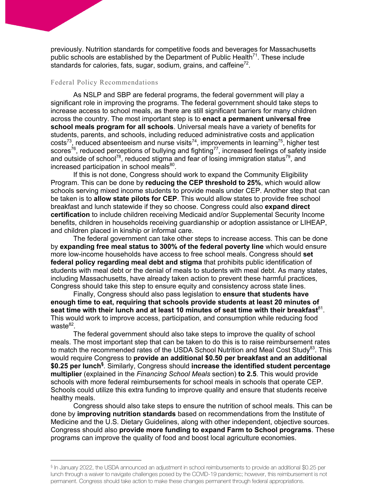previously. Nutrition standards for competitive foods and beverages for Massachusetts public schools are established by the Department of Public Health<sup>71</sup>. These include standards for calories, fats, sugar, sodium, grains, and caffeine<sup>72</sup>.

#### Federal Policy Recommendations

As NSLP and SBP are federal programs, the federal government will play a significant role in improving the programs. The federal government should take steps to increase access to school meals, as there are still significant barriers for many children across the country. The most important step is to **enact a permanent universal free school meals program for all schools**. Universal meals have a variety of benefits for students, parents, and schools, including reduced administrative costs and application costs<sup>73</sup>, reduced absenteeism and nurse visits<sup>74</sup>, improvements in learning<sup>75</sup>, higher test scores<sup>76</sup>, reduced perceptions of bullying and fighting<sup>77</sup>, increased feelings of safety inside and outside of school<sup>78</sup>, reduced stigma and fear of losing immigration status<sup>79</sup>, and increased participation in school meals<sup>80</sup>.

If this is not done, Congress should work to expand the Community Eligibility Program. This can be done by **reducing the CEP threshold to 25%**, which would allow schools serving mixed income students to provide meals under CEP. Another step that can be taken is to **allow state pilots for CEP**. This would allow states to provide free school breakfast and lunch statewide if they so choose. Congress could also **expand direct certification** to include children receiving Medicaid and/or Supplemental Security Income benefits, children in households receiving guardianship or adoption assistance or LIHEAP, and children placed in kinship or informal care.

The federal government can take other steps to increase access. This can be done by **expanding free meal status to 300% of the federal poverty line** which would ensure more low-income households have access to free school meals. Congress should **set federal policy regarding meal debt and stigma** that prohibits public identification of students with meal debt or the denial of meals to students with meal debt. As many states, including Massachusetts, have already taken action to prevent these harmful practices, Congress should take this step to ensure equity and consistency across state lines.

Finally, Congress should also pass legislation to **ensure that students have enough time to eat, requiring that schools provide students at least 20 minutes of**  seat time with their lunch and at least 10 minutes of seat time with their breakfast<sup>81</sup>. This would work to improve access, participation, and consumption while reducing food wast $e^{82}$ .

The federal government should also take steps to improve the quality of school meals. The most important step that can be taken to do this is to raise reimbursement rates to match the recommended rates of the USDA School Nutrition and Meal Cost Study $^{83}$ . This would require Congress to **provide an additional \$0.50 per breakfast and an additional \$0.25 per lunch§** . Similarly, Congress should **increase the identified student percentage multiplier** (explained in the *Financing School Meals* section) **to 2.5**. This would provide schools with more federal reimbursements for school meals in schools that operate CEP. Schools could utilize this extra funding to improve quality and ensure that students receive healthy meals.

Congress should also take steps to ensure the nutrition of school meals. This can be done by **improving nutrition standards** based on recommendations from the Institute of Medicine and the U.S. Dietary Guidelines, along with other independent, objective sources. Congress should also **provide more funding to expand Farm to School programs**. These programs can improve the quality of food and boost local agriculture economies.

<sup>§</sup> In January 2022, the USDA announced an adjustment in school reimbursements to provide an additional \$0.25 per lunch through a waiver to navigate challenges posed by the COVID-19 pandemic; however, this reimbursement is not permanent. Congress should take action to make these changes permanent through federal appropriations.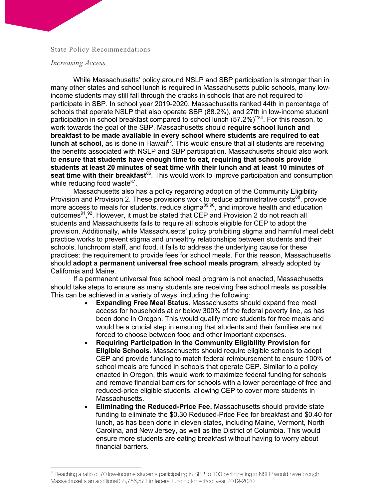#### State Policy Recommendations

#### *Increasing Access*

While Massachusetts' policy around NSLP and SBP participation is stronger than in many other states and school lunch is required in Massachusetts public schools, many lowincome students may still fall through the cracks in schools that are not required to participate in SBP. In school year 2019-2020, Massachusetts ranked 44th in percentage of schools that operate NSLP that also operate SBP (88.2%), and 27th in low-income student participation in school breakfast compared to school lunch (57.2%)<sup>\*\*84</sup>. For this reason, to work towards the goal of the SBP, Massachusetts should **require school lunch and breakfast to be made available in every school where students are required to eat lunch at school**, as is done in Hawaii<sup>85</sup>. This would ensure that all students are receiving the benefits associated with NSLP and SBP participation. Massachusetts should also work to **ensure that students have enough time to eat, requiring that schools provide students at least 20 minutes of seat time with their lunch and at least 10 minutes of seat time with their breakfast<sup>86</sup>.** This would work to improve participation and consumption while reducing food waste $87$ .

Massachusetts also has a policy regarding adoption of the Community Eligibility Provision and Provision 2. These provisions work to reduce administrative costs<sup>88</sup>, provide more access to meals for students, reduce stigma<sup>89,90</sup>, and improve health and education outcomes<sup>91</sup>,<sup>92</sup>. However, it must be stated that CEP and Provision 2 do not reach all students and Massachusetts fails to require all schools eligible for CEP to adopt the provision. Additionally, while Massachusetts' policy prohibiting stigma and harmful meal debt practice works to prevent stigma and unhealthy relationships between students and their schools, lunchroom staff, and food, it fails to address the underlying cause for these practices: the requirement to provide fees for school meals. For this reason, Massachusetts should **adopt a permanent universal free school meals program**, already adopted by California and Maine.

If a permanent universal free school meal program is not enacted, Massachusetts should take steps to ensure as many students are receiving free school meals as possible. This can be achieved in a variety of ways, including the following:

- **Expanding Free Meal Status**. Massachusetts should expand free meal access for households at or below 300% of the federal poverty line, as has been done in Oregon. This would qualify more students for free meals and would be a crucial step in ensuring that students and their families are not forced to choose between food and other important expenses.
- **Requiring Participation in the Community Eligibility Provision for Eligible Schools**. Massachusetts should require eligible schools to adopt CEP and provide funding to match federal reimbursement to ensure 100% of school meals are funded in schools that operate CEP. Similar to a policy enacted in Oregon, this would work to maximize federal funding for schools and remove financial barriers for schools with a lower percentage of free and reduced-price eligible students, allowing CEP to cover more students in Massachusetts.
- **Eliminating the Reduced-Price Fee.** Massachusetts should provide state funding to eliminate the \$0.30 Reduced-Price Fee for breakfast and \$0.40 for lunch, as has been done in eleven states, including Maine, Vermont, North Carolina, and New Jersey, as well as the District of Columbia. This would ensure more students are eating breakfast without having to worry about financial barriers.

<sup>\*\*</sup> Reaching a ratio of 70 low-income students participating in SBP to 100 participating in NSLP would have brought Massachusetts an additional \$8,756,571 in federal funding for school year 2019-2020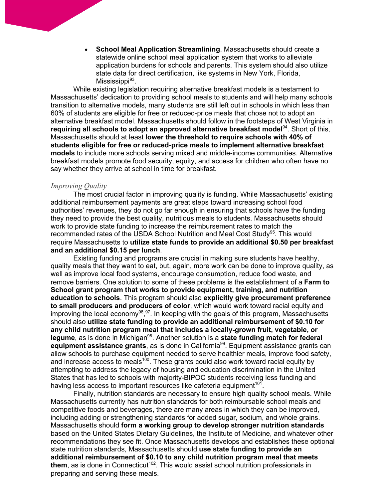• **School Meal Application Streamlining**. Massachusetts should create a statewide online school meal application system that works to alleviate application burdens for schools and parents. This system should also utilize state data for direct certification, like systems in New York, Florida,  $M$ ississippi $93$ .

While existing legislation requiring alternative breakfast models is a testament to Massachusetts' dedication to providing school meals to students and will help many schools transition to alternative models, many students are still left out in schools in which less than 60% of students are eligible for free or reduced-price meals that chose not to adopt an alternative breakfast model. Massachusetts should follow in the footsteps of West Virginia in **requiring all schools to adopt an approved alternative breakfast model**94. Short of this, Massachusetts should at least **lower the threshold to require schools with 40% of students eligible for free or reduced-price meals to implement alternative breakfast models** to include more schools serving mixed and middle-income communities. Alternative breakfast models promote food security, equity, and access for children who often have no say whether they arrive at school in time for breakfast.

#### *Improving Quality*

The most crucial factor in improving quality is funding. While Massachusetts' existing additional reimbursement payments are great steps toward increasing school food authorities' revenues, they do not go far enough in ensuring that schools have the funding they need to provide the best quality, nutritious meals to students. Massachusetts should work to provide state funding to increase the reimbursement rates to match the recommended rates of the USDA School Nutrition and Meal Cost Study<sup>95</sup>. This would require Massachusetts to **utilize state funds to provide an additional \$0.50 per breakfast and an additional \$0.15 per lunch**.

Existing funding and programs are crucial in making sure students have healthy, quality meals that they want to eat, but, again, more work can be done to improve quality, as well as improve local food systems, encourage consumption, reduce food waste, and remove barriers. One solution to some of these problems is the establishment of a **Farm to School grant program that works to provide equipment, training, and nutrition education to schools**. This program should also **explicitly give procurement preference to small producers and producers of color**, which would work toward racial equity and improving the local economy<sup>96</sup>,<sup>97</sup>. In keeping with the goals of this program, Massachusetts should also **utilize state funding to provide an additional reimbursement of \$0.10 for any child nutrition program meal that includes a locally-grown fruit, vegetable, or**  legume, as is done in Michigan<sup>98</sup>. Another solution is a **state funding match for federal** equipment assistance grants, as is done in California<sup>99</sup>. Equipment assistance grants can allow schools to purchase equipment needed to serve healthier meals, improve food safety, and increase access to meals<sup>100</sup>. These grants could also work toward racial equity by attempting to address the legacy of housing and education discrimination in the United States that has led to schools with majority-BIPOC students receiving less funding and having less access to important resources like cafeteria equipment<sup>101</sup>.

Finally, nutrition standards are necessary to ensure high quality school meals. While Massachusetts currently has nutrition standards for both reimbursable school meals and competitive foods and beverages, there are many areas in which they can be improved, including adding or strengthening standards for added sugar, sodium, and whole grains. Massachusetts should **form a working group to develop stronger nutrition standards**  based on the United States Dietary Guidelines, the Institute of Medicine, and whatever other recommendations they see fit. Once Massachusetts develops and establishes these optional state nutrition standards, Massachusetts should **use state funding to provide an additional reimbursement of \$0.10 to any child nutrition program meal that meets**  them, as is done in Connecticut<sup>102</sup>. This would assist school nutrition professionals in preparing and serving these meals.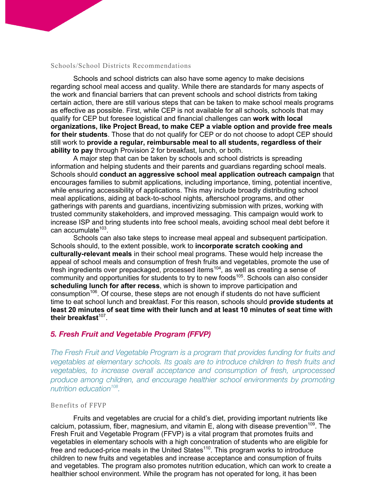#### Schools/School Districts Recommendations

Schools and school districts can also have some agency to make decisions regarding school meal access and quality. While there are standards for many aspects of the work and financial barriers that can prevent schools and school districts from taking certain action, there are still various steps that can be taken to make school meals programs as effective as possible. First, while CEP is not available for all schools, schools that may qualify for CEP but foresee logistical and financial challenges can **work with local organizations, like Project Bread, to make CEP a viable option and provide free meals for their students**. Those that do not qualify for CEP or do not choose to adopt CEP should still work to **provide a regular, reimbursable meal to all students, regardless of their ability to pay** through Provision 2 for breakfast, lunch, or both.

A major step that can be taken by schools and school districts is spreading information and helping students and their parents and guardians regarding school meals. Schools should **conduct an aggressive school meal application outreach campaign** that encourages families to submit applications, including importance, timing, potential incentive, while ensuring accessibility of applications. This may include broadly distributing school meal applications, aiding at back-to-school nights, afterschool programs, and other gatherings with parents and guardians, incentivizing submission with prizes, working with trusted community stakeholders, and improved messaging. This campaign would work to increase ISP and bring students into free school meals, avoiding school meal debt before it  $can$  accumulate<sup>103</sup>.

Schools can also take steps to increase meal appeal and subsequent participation. Schools should, to the extent possible, work to **incorporate scratch cooking and culturally-relevant meals** in their school meal programs. These would help increase the appeal of school meals and consumption of fresh fruits and vegetables, promote the use of fresh ingredients over prepackaged, processed items104, as well as creating a sense of community and opportunities for students to try to new foods<sup>105</sup>. Schools can also consider **scheduling lunch for after recess**, which is shown to improve participation and consumption<sup>106</sup>. Of course, these steps are not enough if students do not have sufficient time to eat school lunch and breakfast. For this reason, schools should **provide students at least 20 minutes of seat time with their lunch and at least 10 minutes of seat time with their breakfast**107.

## *5. Fresh Fruit and Vegetable Program (FFVP)*

*The Fresh Fruit and Vegetable Program is a program that provides funding for fruits and vegetables at elementary schools. Its goals are to introduce children to fresh fruits and vegetables, to increase overall acceptance and consumption of fresh, unprocessed produce among children, and encourage healthier school environments by promoting nutrition education108.*

#### Benefits of FFVP

Fruits and vegetables are crucial for a child's diet, providing important nutrients like calcium, potassium, fiber, magnesium, and vitamin E, along with disease prevention<sup>109</sup>. The Fresh Fruit and Vegetable Program (FFVP) is a vital program that promotes fruits and vegetables in elementary schools with a high concentration of students who are eligible for free and reduced-price meals in the United States<sup>110</sup>. This program works to introduce children to new fruits and vegetables and increase acceptance and consumption of fruits and vegetables. The program also promotes nutrition education, which can work to create a healthier school environment. While the program has not operated for long, it has been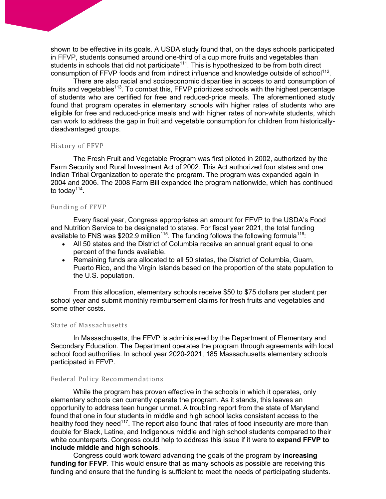shown to be effective in its goals. A USDA study found that, on the days schools participated in FFVP, students consumed around one-third of a cup more fruits and vegetables than students in schools that did not participate<sup>111</sup>. This is hypothesized to be from both direct consumption of FFVP foods and from indirect influence and knowledge outside of school<sup>112</sup>.

There are also racial and socioeconomic disparities in access to and consumption of fruits and vegetables<sup>113</sup>. To combat this, FFVP prioritizes schools with the highest percentage of students who are certified for free and reduced-price meals. The aforementioned study found that program operates in elementary schools with higher rates of students who are eligible for free and reduced-price meals and with higher rates of non-white students, which can work to address the gap in fruit and vegetable consumption for children from historicallydisadvantaged groups.

#### History of FFVP

The Fresh Fruit and Vegetable Program was first piloted in 2002, authorized by the Farm Security and Rural Investment Act of 2002. This Act authorized four states and one Indian Tribal Organization to operate the program. The program was expanded again in 2004 and 2006. The 2008 Farm Bill expanded the program nationwide, which has continued to today<sup> $114$ </sup>.

#### Funding of FFVP

Every fiscal year, Congress appropriates an amount for FFVP to the USDA's Food and Nutrition Service to be designated to states. For fiscal year 2021, the total funding available to FNS was \$202.9 million<sup>115</sup>. The funding follows the following formula<sup>116</sup>:

- All 50 states and the District of Columbia receive an annual grant equal to one percent of the funds available.
- Remaining funds are allocated to all 50 states, the District of Columbia, Guam, Puerto Rico, and the Virgin Islands based on the proportion of the state population to the U.S. population.

From this allocation, elementary schools receive \$50 to \$75 dollars per student per school year and submit monthly reimbursement claims for fresh fruits and vegetables and some other costs.

#### State of Massachusetts

In Massachusetts, the FFVP is administered by the Department of Elementary and Secondary Education. The Department operates the program through agreements with local school food authorities. In school year 2020-2021, 185 Massachusetts elementary schools participated in FFVP.

#### Federal Policy Recommendations

While the program has proven effective in the schools in which it operates, only elementary schools can currently operate the program. As it stands, this leaves an opportunity to address teen hunger unmet. A troubling report from the state of Maryland found that one in four students in middle and high school lacks consistent access to the healthy food they need<sup>117</sup>. The report also found that rates of food insecurity are more than double for Black, Latine, and Indigenous middle and high school students compared to their white counterparts. Congress could help to address this issue if it were to **expand FFVP to include middle and high schools**.

Congress could work toward advancing the goals of the program by **increasing funding for FFVP**. This would ensure that as many schools as possible are receiving this funding and ensure that the funding is sufficient to meet the needs of participating students.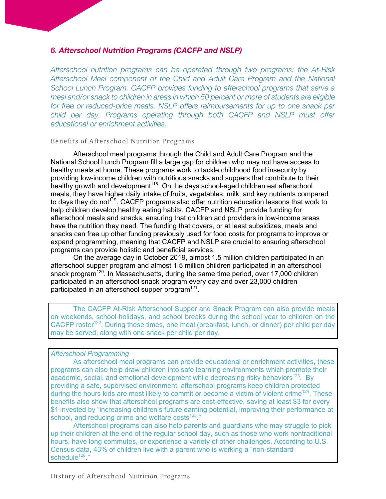## *6. Afterschool Nutrition Programs (CACFP and NSLP)*

*Afterschool nutrition programs can be operated through two programs: the At-Risk Afterschool Meal component of the Child and Adult Care Program and the National School Lunch Program. CACFP provides funding to afterschool programs that serve a meal and/or snack to children in areas in which 50 percent or more of students are eligible for free or reduced-price meals. NSLP offers reimbursements for up to one snack per child per day. Programs operating through both CACFP and NSLP must offer educational or enrichment activities.*

#### Benefits of Afterschool Nutrition Programs

Afterschool meal programs through the Child and Adult Care Program and the National School Lunch Program fill a large gap for children who may not have access to healthy meals at home. These programs work to tackle childhood food insecurity by providing low-income children with nutritious snacks and suppers that contribute to their healthy growth and development<sup>118</sup>. On the days school-aged children eat afterschool meals, they have higher daily intake of fruits, vegetables, milk, and key nutrients compared to days they do not<sup> $119$ </sup>. CACFP programs also offer nutrition education lessons that work to help children develop healthy eating habits. CACFP and NSLP provide funding for afterschool meals and snacks, ensuring that children and providers in low-income areas have the nutrition they need. The funding that covers, or at least subsidizes, meals and snacks can free up other funding previously used for food costs for programs to improve or expand programming, meaning that CACFP and NSLP are crucial to ensuring afterschool programs can provide holistic and beneficial services.

On the average day in October 2019, almost 1.5 million children participated in an afterschool supper program and almost 1.5 million children participated in an afterschool snack program<sup>120</sup>. In Massachusetts, during the same time period, over 17,000 children participated in an afterschool snack program every day and over 23,000 children participated in an afterschool supper program<sup>121</sup>.

The CACFP At-Risk Afterschool Supper and Snack Program can also provide meals on weekends, school holidays, and school breaks during the school year to children on the CACFP roster<sup>122</sup>. During these times, one meal (breakfast, lunch, or dinner) per child per day may be served, along with one snack per child per day.

## *Afterschool Programming*

As afterschool meal programs can provide educational or enrichment activities, these programs can also help draw children into safe learning environments which promote their academic, social, and emotional development while decreasing risky behaviors<sup>123</sup>. By providing a safe, supervised environment, afterschool programs keep children protected during the hours kids are most likely to commit or become a victim of violent crime<sup>124</sup>. These benefits also show that afterschool programs are cost-effective, saving at least \$3 for every \$1 invested by "increasing children's future earning potential, improving their performance at school, and reducing crime and welfare costs $125$ ."

Afterschool programs can also help parents and guardians who may struggle to pick up their children at the end of the regular school day, such as those who work nontraditional hours, have long commutes, or experience a variety of other challenges. According to U.S. Census data, 43% of children live with a parent who is working a "non-standard schedule<sup>126</sup>."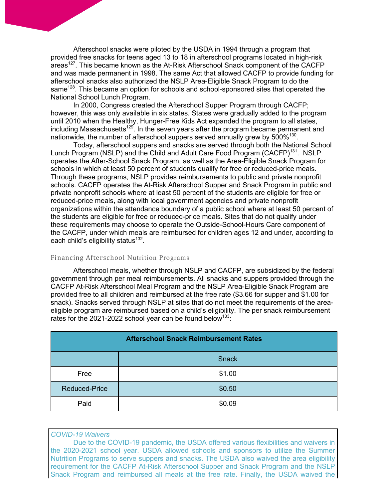Afterschool snacks were piloted by the USDA in 1994 through a program that provided free snacks for teens aged 13 to 18 in afterschool programs located in high-risk areas<sup>127</sup>. This became known as the At-Risk Afterschool Snack component of the CACFP and was made permanent in 1998. The same Act that allowed CACFP to provide funding for afterschool snacks also authorized the NSLP Area-Eligible Snack Program to do the same<sup>128</sup>. This became an option for schools and school-sponsored sites that operated the National School Lunch Program.

In 2000, Congress created the Afterschool Supper Program through CACFP; however, this was only available in six states. States were gradually added to the program until 2010 when the Healthy, Hunger-Free Kids Act expanded the program to all states, including Massachusetts<sup>129</sup>. In the seven years after the program became permanent and nationwide, the number of afterschool suppers served annually grew by 500%<sup>130</sup>.

Today, afterschool suppers and snacks are served through both the National School Lunch Program (NSLP) and the Child and Adult Care Food Program (CACFP)<sup>131</sup>. NSLP operates the After-School Snack Program, as well as the Area-Eligible Snack Program for schools in which at least 50 percent of students qualify for free or reduced-price meals. Through these programs, NSLP provides reimbursements to public and private nonprofit schools. CACFP operates the At-Risk Afterschool Supper and Snack Program in public and private nonprofit schools where at least 50 percent of the students are eligible for free or reduced-price meals, along with local government agencies and private nonprofit organizations within the attendance boundary of a public school where at least 50 percent of the students are eligible for free or reduced-price meals. Sites that do not qualify under these requirements may choose to operate the Outside-School-Hours Care component of the CACFP, under which meals are reimbursed for children ages 12 and under, according to each child's eligibility status<sup>132</sup>.

#### Financing Afterschool Nutrition Programs

Afterschool meals, whether through NSLP and CACFP, are subsidized by the federal government through per meal reimbursements. All snacks and suppers provided through the CACFP At-Risk Afterschool Meal Program and the NSLP Area-Eligible Snack Program are provided free to all children and reimbursed at the free rate (\$3.66 for supper and \$1.00 for snack). Snacks served through NSLP at sites that do not meet the requirements of the areaeligible program are reimbursed based on a child's eligibility. The per snack reimbursement rates for the 2021-2022 school year can be found below<sup>133</sup>:

| <b>Afterschool Snack Reimbursement Rates</b> |              |  |  |
|----------------------------------------------|--------------|--|--|
|                                              | <b>Snack</b> |  |  |
| Free                                         | \$1.00       |  |  |
| Reduced-Price                                | \$0.50       |  |  |
| Paid                                         | \$0.09       |  |  |

#### *COVID-19 Waivers*

Due to the COVID-19 pandemic, the USDA offered various flexibilities and waivers in the 2020-2021 school year. USDA allowed schools and sponsors to utilize the Summer Nutrition Programs to serve suppers and snacks. The USDA also waived the area eligibility requirement for the CACFP At-Risk Afterschool Supper and Snack Program and the NSLP Snack Program and reimbursed all meals at the free rate. Finally, the USDA waived the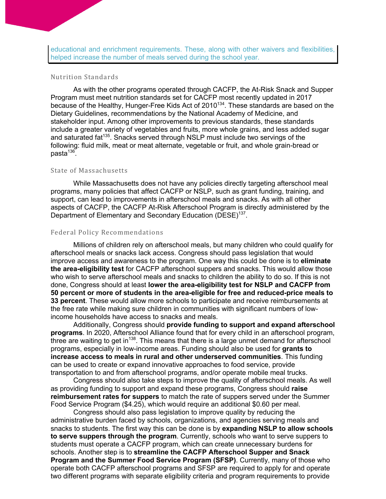educational and enrichment requirements. These, along with other waivers and flexibilities, helped increase the number of meals served during the school year.

## Nutrition Standards

As with the other programs operated through CACFP, the At-Risk Snack and Supper Program must meet nutrition standards set for CACFP most recently updated in 2017 because of the Healthy, Hunger-Free Kids Act of 2010<sup>134</sup>. These standards are based on the Dietary Guidelines, recommendations by the National Academy of Medicine, and stakeholder input. Among other improvements to previous standards, these standards include a greater variety of vegetables and fruits, more whole grains, and less added sugar and saturated fat<sup>135</sup>. Snacks served through NSLP must include two servings of the following: fluid milk, meat or meat alternate, vegetable or fruit, and whole grain-bread or  $pasta<sup>136</sup>$ .

#### State of Massachusetts

While Massachusetts does not have any policies directly targeting afterschool meal programs, many policies that affect CACFP or NSLP, such as grant funding, training, and support, can lead to improvements in afterschool meals and snacks. As with all other aspects of CACFP, the CACFP At-Risk Afterschool Program is directly administered by the Department of Elementary and Secondary Education (DESE)<sup>137</sup>.

#### Federal Policy Recommendations

Millions of children rely on afterschool meals, but many children who could qualify for afterschool meals or snacks lack access. Congress should pass legislation that would improve access and awareness to the program. One way this could be done is to **eliminate the area-eligibility test** for CACFP afterschool suppers and snacks. This would allow those who wish to serve afterschool meals and snacks to children the ability to do so. If this is not done, Congress should at least **lower the area-eligibility test for NSLP and CACFP from 50 percent or more of students in the area-eligible for free and reduced-price meals to 33 percent**. These would allow more schools to participate and receive reimbursements at the free rate while making sure children in communities with significant numbers of lowincome households have access to snacks and meals.

Additionally, Congress should **provide funding to support and expand afterschool programs**. In 2020, Afterschool Alliance found that for every child in an afterschool program, three are waiting to get in<sup>138</sup>. This means that there is a large unmet demand for afterschool programs, especially in low-income areas. Funding should also be used for **grants to increase access to meals in rural and other underserved communities**. This funding can be used to create or expand innovative approaches to food service, provide transportation to and from afterschool programs, and/or operate mobile meal trucks.

Congress should also take steps to improve the quality of afterschool meals. As well as providing funding to support and expand these programs, Congress should **raise reimbursement rates for suppers** to match the rate of suppers served under the Summer Food Service Program (\$4.25), which would require an additional \$0.60 per meal.

Congress should also pass legislation to improve quality by reducing the administrative burden faced by schools, organizations, and agencies serving meals and snacks to students. The first way this can be done is by **expanding NSLP to allow schools to serve suppers through the program**. Currently, schools who want to serve suppers to students must operate a CACFP program, which can create unnecessary burdens for schools. Another step is to **streamline the CACFP Afterschool Supper and Snack Program and the Summer Food Service Program (SFSP)**. Currently, many of those who operate both CACFP afterschool programs and SFSP are required to apply for and operate two different programs with separate eligibility criteria and program requirements to provide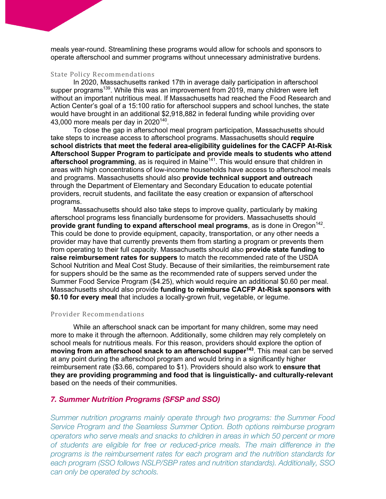meals year-round. Streamlining these programs would allow for schools and sponsors to operate afterschool and summer programs without unnecessary administrative burdens.

#### State Policy Recommendations

In 2020, Massachusetts ranked 17th in average daily participation in afterschool supper programs<sup>139</sup>. While this was an improvement from 2019, many children were left without an important nutritious meal. If Massachusetts had reached the Food Research and Action Center's goal of a 15:100 ratio for afterschool suppers and school lunches, the state would have brought in an additional \$2,918,882 in federal funding while providing over 43,000 more meals per day in 2020140.

To close the gap in afterschool meal program participation, Massachusetts should take steps to increase access to afterschool programs. Massachusetts should **require school districts that meet the federal area-eligibility guidelines for the CACFP At-Risk Afterschool Supper Program to participate and provide meals to students who attend**  afterschool programming, as is required in Maine<sup>141</sup>. This would ensure that children in areas with high concentrations of low-income households have access to afterschool meals and programs. Massachusetts should also **provide technical support and outreach** through the Department of Elementary and Secondary Education to educate potential providers, recruit students, and facilitate the easy creation or expansion of afterschool programs.

Massachusetts should also take steps to improve quality, particularly by making afterschool programs less financially burdensome for providers. Massachusetts should **provide grant funding to expand afterschool meal programs**, as is done in Oregon<sup>142</sup>. This could be done to provide equipment, capacity, transportation, or any other needs a provider may have that currently prevents them from starting a program or prevents them from operating to their full capacity. Massachusetts should also **provide state funding to raise reimbursement rates for suppers** to match the recommended rate of the USDA School Nutrition and Meal Cost Study. Because of their similarities, the reimbursement rate for suppers should be the same as the recommended rate of suppers served under the Summer Food Service Program (\$4.25), which would require an additional \$0.60 per meal. Massachusetts should also provide **funding to reimburse CACFP At-Risk sponsors with \$0.10 for every meal** that includes a locally-grown fruit, vegetable, or legume.

#### Provider Recommendations

While an afterschool snack can be important for many children, some may need more to make it through the afternoon. Additionally, some children may rely completely on school meals for nutritious meals. For this reason, providers should explore the option of **moving from an afterschool snack to an afterschool supper<sup>143</sup>**. This meal can be served at any point during the afterschool program and would bring in a significantly higher reimbursement rate (\$3.66, compared to \$1). Providers should also work to **ensure that they are providing programming and food that is linguistically- and culturally-relevant**  based on the needs of their communities.

#### *7. Summer Nutrition Programs (SFSP and SSO)*

*Summer nutrition programs mainly operate through two programs: the Summer Food Service Program and the Seamless Summer Option. Both options reimburse program operators who serve meals and snacks to children in areas in which 50 percent or more of students are eligible for free or reduced-price meals. The main difference in the programs is the reimbursement rates for each program and the nutrition standards for each program (SSO follows NSLP/SBP rates and nutrition standards). Additionally, SSO can only be operated by schools.*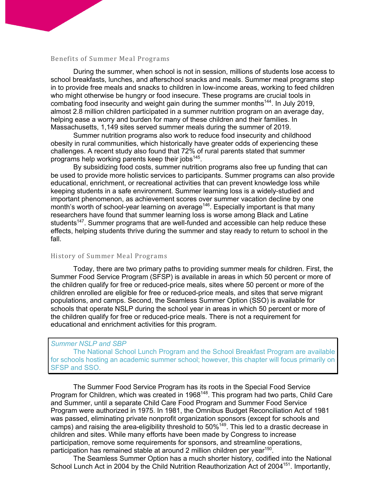#### Benefits of Summer Meal Programs

During the summer, when school is not in session, millions of students lose access to school breakfasts, lunches, and afterschool snacks and meals. Summer meal programs step in to provide free meals and snacks to children in low-income areas, working to feed children who might otherwise be hungry or food insecure. These programs are crucial tools in combating food insecurity and weight gain during the summer months<sup>144</sup>. In July 2019, almost 2.8 million children participated in a summer nutrition program on an average day, helping ease a worry and burden for many of these children and their families. In Massachusetts, 1,149 sites served summer meals during the summer of 2019.

Summer nutrition programs also work to reduce food insecurity and childhood obesity in rural communities, which historically have greater odds of experiencing these challenges. A recent study also found that 72% of rural parents stated that summer programs help working parents keep their jobs $145$ .

By subsidizing food costs, summer nutrition programs also free up funding that can be used to provide more holistic services to participants. Summer programs can also provide educational, enrichment, or recreational activities that can prevent knowledge loss while keeping students in a safe environment. Summer learning loss is a widely-studied and important phenomenon, as achievement scores over summer vacation decline by one month's worth of school-year learning on average<sup>146</sup>. Especially important is that many researchers have found that summer learning loss is worse among Black and Latine students<sup>147</sup>. Summer programs that are well-funded and accessible can help reduce these effects, helping students thrive during the summer and stay ready to return to school in the fall.

## History of Summer Meal Programs

Today, there are two primary paths to providing summer meals for children. First, the Summer Food Service Program (SFSP) is available in areas in which 50 percent or more of the children qualify for free or reduced-price meals, sites where 50 percent or more of the children enrolled are eligible for free or reduced-price meals, and sites that serve migrant populations, and camps. Second, the Seamless Summer Option (SSO) is available for schools that operate NSLP during the school year in areas in which 50 percent or more of the children qualify for free or reduced-price meals. There is not a requirement for educational and enrichment activities for this program.

#### *Summer NSLP and SBP*

The National School Lunch Program and the School Breakfast Program are available for schools hosting an academic summer school; however, this chapter will focus primarily on SFSP and SSO.

The Summer Food Service Program has its roots in the Special Food Service Program for Children, which was created in 1968<sup>148</sup>. This program had two parts, Child Care and Summer, until a separate Child Care Food Program and Summer Food Service Program were authorized in 1975. In 1981, the Omnibus Budget Reconciliation Act of 1981 was passed, eliminating private nonprofit organization sponsors (except for schools and camps) and raising the area-eligibility threshold to 50%149. This led to a drastic decrease in children and sites. While many efforts have been made by Congress to increase participation, remove some requirements for sponsors, and streamline operations, participation has remained stable at around 2 million children per year<sup>150</sup>.

The Seamless Summer Option has a much shorter history, codified into the National School Lunch Act in 2004 by the Child Nutrition Reauthorization Act of 2004<sup>151</sup>. Importantly,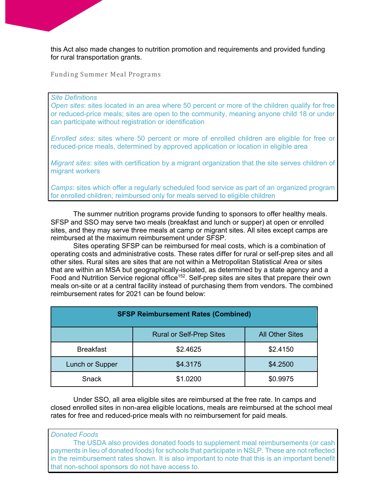this Act also made changes to nutrition promotion and requirements and provided funding for rural transportation grants.

Funding Summer Meal Programs

#### *Site Definitions*

*Open sites*: sites located in an area where 50 percent or more of the children qualify for free or reduced-price meals; sites are open to the community, meaning anyone child 18 or under can participate without registration or identification

*Enrolled sites*: sites where 50 percent or more of enrolled children are eligible for free or reduced-price meals, determined by approved application or location in eligible area

*Migrant sites*: sites with certification by a migrant organization that the site serves children of migrant workers

*Camps*: sites which offer a regularly scheduled food service as part of an organized program for enrolled children; reimbursed only for meals served to eligible children

The summer nutrition programs provide funding to sponsors to offer healthy meals. SFSP and SSO may serve two meals (breakfast and lunch or supper) at open or enrolled sites, and they may serve three meals at camp or migrant sites. All sites except camps are reimbursed at the maximum reimbursement under SFSP.

Sites operating SFSP can be reimbursed for meal costs, which is a combination of operating costs and administrative costs. These rates differ for rural or self-prep sites and all other sites. Rural sites are sites that are not within a Metropolitan Statistical Area or sites that are within an MSA but geographically-isolated, as determined by a state agency and a Food and Nutrition Service regional office<sup>152</sup>. Self-prep sites are sites that prepare their own meals on-site or at a central facility instead of purchasing them from vendors. The combined reimbursement rates for 2021 can be found below:

| <b>SFSP Reimbursement Rates (Combined)</b> |                                 |                        |  |  |
|--------------------------------------------|---------------------------------|------------------------|--|--|
|                                            | <b>Rural or Self-Prep Sites</b> | <b>All Other Sites</b> |  |  |
| <b>Breakfast</b>                           | \$2.4625                        | \$2.4150               |  |  |
| Lunch or Supper                            | \$4.3175                        | \$4.2500               |  |  |
| Snack                                      | \$1.0200                        | \$0.9975               |  |  |

Under SSO, all area eligible sites are reimbursed at the free rate. In camps and closed enrolled sites in non-area eligible locations, meals are reimbursed at the school meal rates for free and reduced-price meals with no reimbursement for paid meals.

*Donated Foods*

The USDA also provides donated foods to supplement meal reimbursements (or cash payments in lieu of donated foods) for schools that participate in NSLP. These are not reflected in the reimbursement rates shown. It is also important to note that this is an important benefit that non-school sponsors do not have access to.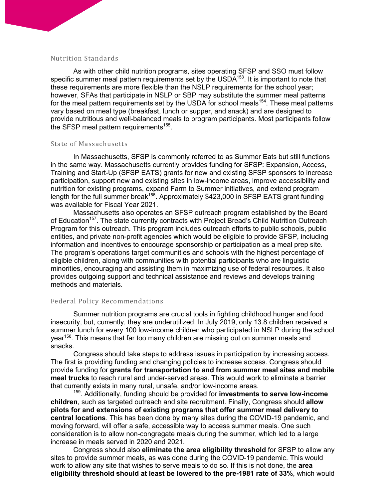#### Nutrition Standards

As with other child nutrition programs, sites operating SFSP and SSO must follow specific summer meal pattern requirements set by the USDA<sup>153</sup>. It is important to note that these requirements are more flexible than the NSLP requirements for the school year; however, SFAs that participate in NSLP or SBP may substitute the summer meal patterns for the meal pattern requirements set by the USDA for school meals<sup>154</sup>. These meal patterns vary based on meal type (breakfast, lunch or supper, and snack) and are designed to provide nutritious and well-balanced meals to program participants. Most participants follow the SFSP meal pattern requirements<sup>155</sup>.

#### State of Massachusetts

In Massachusetts, SFSP is commonly referred to as Summer Eats but still functions in the same way. Massachusetts currently provides funding for SFSP: Expansion, Access, Training and Start-Up (SFSP EATS) grants for new and existing SFSP sponsors to increase participation, support new and existing sites in low-income areas, improve accessibility and nutrition for existing programs, expand Farm to Summer initiatives, and extend program length for the full summer break156. Approximately \$423,000 in SFSP EATS grant funding was available for Fiscal Year 2021.

Massachusetts also operates an SFSP outreach program established by the Board of Education<sup>157</sup>. The state currently contracts with Project Bread's Child Nutrition Outreach Program for this outreach. This program includes outreach efforts to public schools, public entities, and private non-profit agencies which would be eligible to provide SFSP, including information and incentives to encourage sponsorship or participation as a meal prep site. The program's operations target communities and schools with the highest percentage of eligible children, along with communities with potential participants who are linguistic minorities, encouraging and assisting them in maximizing use of federal resources. It also provides outgoing support and technical assistance and reviews and develops training methods and materials.

#### Federal Policy Recommendations

Summer nutrition programs are crucial tools in fighting childhood hunger and food insecurity, but, currently, they are underutilized. In July 2019, only 13.8 children received a summer lunch for every 100 low-income children who participated in NSLP during the school year<sup>158</sup>. This means that far too many children are missing out on summer meals and snacks.

Congress should take steps to address issues in participation by increasing access. The first is providing funding and changing policies to increase access. Congress should provide funding for **grants for transportation to and from summer meal sites and mobile meal trucks** to reach rural and under-served areas. This would work to eliminate a barrier that currently exists in many rural, unsafe, and/or low-income areas. 159. Additionally, funding should be provided for **investments to serve low-income** 

**children**, such as targeted outreach and site recruitment. Finally, Congress should **allow pilots for and extensions of existing programs that offer summer meal delivery to central locations**. This has been done by many sites during the COVID-19 pandemic, and moving forward, will offer a safe, accessible way to access summer meals. One such consideration is to allow non-congregate meals during the summer, which led to a large increase in meals served in 2020 and 2021.

Congress should also **eliminate the area eligibility threshold** for SFSP to allow any sites to provide summer meals, as was done during the COVID-19 pandemic. This would work to allow any site that wishes to serve meals to do so. If this is not done, the **area eligibility threshold should at least be lowered to the pre-1981 rate of 33%**, which would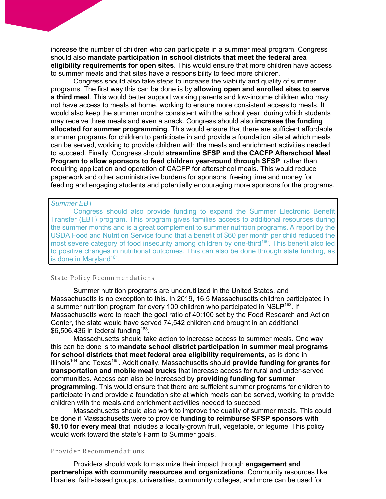increase the number of children who can participate in a summer meal program. Congress should also **mandate participation in school districts that meet the federal area eligibility requirements for open sites**. This would ensure that more children have access to summer meals and that sites have a responsibility to feed more children.

Congress should also take steps to increase the viability and quality of summer programs. The first way this can be done is by **allowing open and enrolled sites to serve a third meal**. This would better support working parents and low-income children who may not have access to meals at home, working to ensure more consistent access to meals. It would also keep the summer months consistent with the school year, during which students may receive three meals and even a snack. Congress should also **increase the funding allocated for summer programming**. This would ensure that there are sufficient affordable summer programs for children to participate in and provide a foundation site at which meals can be served, working to provide children with the meals and enrichment activities needed to succeed. Finally, Congress should **streamline SFSP and the CACFP Afterschool Meal Program to allow sponsors to feed children year-round through SFSP**, rather than requiring application and operation of CACFP for afterschool meals. This would reduce paperwork and other administrative burdens for sponsors, freeing time and money for feeding and engaging students and potentially encouraging more sponsors for the programs.

#### *Summer EBT*

Congress should also provide funding to expand the Summer Electronic Benefit Transfer (EBT) program. This program gives families access to additional resources during the summer months and is a great complement to summer nutrition programs. A report by the USDA Food and Nutrition Service found that a benefit of \$60 per month per child reduced the most severe category of food insecurity among children by one-third<sup>160</sup>. This benefit also led to positive changes in nutritional outcomes. This can also be done through state funding, as is done in Maryland $161$ .

#### State Policy Recommendations

Summer nutrition programs are underutilized in the United States, and Massachusetts is no exception to this. In 2019, 16.5 Massachusetts children participated in a summer nutrition program for every 100 children who participated in NSLP<sup>162</sup>. If Massachusetts were to reach the goal ratio of 40:100 set by the Food Research and Action Center, the state would have served 74,542 children and brought in an additional  $$6.506.436$  in federal funding<sup>163</sup>.

Massachusetts should take action to increase access to summer meals. One way this can be done is to **mandate school district participation in summer meal programs for school districts that meet federal area eligibility requirements**, as is done in Illinois<sup>164</sup> and Texas<sup>165</sup>. Additionally, Massachusetts should **provide funding for grants for transportation and mobile meal trucks** that increase access for rural and under-served communities. Access can also be increased by **providing funding for summer programming**. This would ensure that there are sufficient summer programs for children to participate in and provide a foundation site at which meals can be served, working to provide children with the meals and enrichment activities needed to succeed.

Massachusetts should also work to improve the quality of summer meals. This could be done if Massachusetts were to provide **funding to reimburse SFSP sponsors with \$0.10 for every meal** that includes a locally-grown fruit, vegetable, or legume. This policy would work toward the state's Farm to Summer goals.

#### Provider Recommendations

Providers should work to maximize their impact through **engagement and partnerships with community resources and organizations**. Community resources like libraries, faith-based groups, universities, community colleges, and more can be used for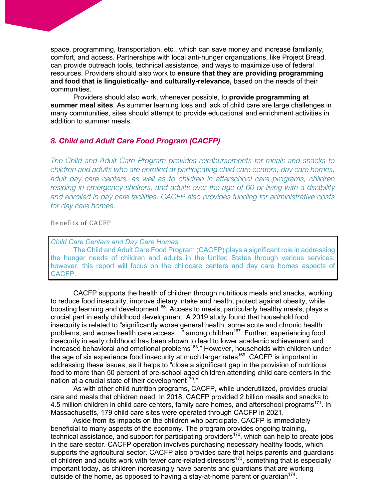space, programming, transportation, etc., which can save money and increase familiarity, comfort, and access. Partnerships with local anti-hunger organizations, like Project Bread, can provide outreach tools, technical assistance, and ways to maximize use of federal resources. Providers should also work to **ensure that they are providing programming and food that is linguistically- and culturally-relevance,** based on the needs of their communities.

Providers should also work, whenever possible, to **provide programming at summer meal sites**. As summer learning loss and lack of child care are large challenges in many communities, sites should attempt to provide educational and enrichment activities in addition to summer meals.

## *8. Child and Adult Care Food Program (CACFP)*

*The Child and Adult Care Program provides reimbursements for meals and snacks to children and adults who are enrolled at participating child care centers, day care homes, adult day care centers, as well as to children in afterschool care programs, children residing in emergency shelters, and adults over the age of 60 or living with a disability and enrolled in day care facilities. CACFP also provides funding for administrative costs for day care homes.*

#### Benefits of CACFP

#### *Child Care Centers and Day Care Homes*

The Child and Adult Care Food Program (CACFP) plays a significant role in addressing the hunger needs of children and adults in the United States through various services; however, this report will focus on the childcare centers and day care homes aspects of CACFP.

CACFP supports the health of children through nutritious meals and snacks, working to reduce food insecurity, improve dietary intake and health, protect against obesity, while boosting learning and development<sup>166</sup>. Access to meals, particularly healthy meals, plays a crucial part in early childhood development. A 2019 study found that household food insecurity is related to "significantly worse general health, some acute and chronic health problems, and worse health care  $\arccos$ ..." among children<sup>167</sup>. Further, experiencing food insecurity in early childhood has been shown to lead to lower academic achievement and increased behavioral and emotional problems<sup>168</sup>." However, households with children under the age of six experience food insecurity at much larger rates<sup>169</sup>. CACFP is important in addressing these issues, as it helps to "close a significant gap in the provision of nutritious food to more than 50 percent of pre-school aged children attending child care centers in the nation at a crucial state of their development<sup>170</sup>."

As with other child nutrition programs, CACFP, while underutilized, provides crucial care and meals that children need. In 2018, CACFP provided 2 billion meals and snacks to 4.5 million children in child care centers, family care homes, and afterschool programs<sup>171</sup>. In Massachusetts, 179 child care sites were operated through CACFP in 2021.

Aside from its impacts on the children who participate, CACFP is immediately beneficial to many aspects of the economy. The program provides ongoing training, technical assistance, and support for participating providers<sup>172</sup>, which can help to create jobs in the care sector. CACFP operation involves purchasing necessary healthy foods, which supports the agricultural sector. CACFP also provides care that helps parents and guardians of children and adults work with fewer care-related stressors<sup>173</sup>, something that is especially important today, as children increasingly have parents and guardians that are working outside of the home, as opposed to having a stay-at-home parent or quardian<sup>174</sup>.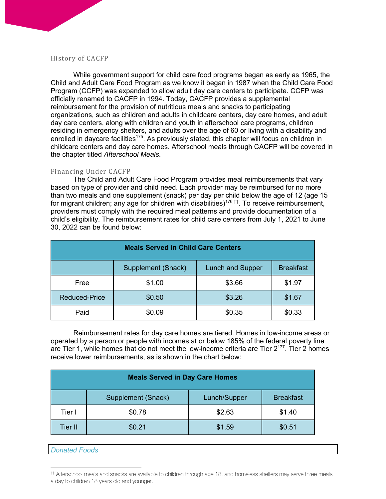#### History of CACFP

While government support for child care food programs began as early as 1965, the Child and Adult Care Food Program as we know it began in 1987 when the Child Care Food Program (CCFP) was expanded to allow adult day care centers to participate. CCFP was officially renamed to CACFP in 1994. Today, CACFP provides a supplemental reimbursement for the provision of nutritious meals and snacks to participating organizations, such as children and adults in childcare centers, day care homes, and adult day care centers, along with children and youth in afterschool care programs, children residing in emergency shelters, and adults over the age of 60 or living with a disability and enrolled in daycare facilities<sup>175</sup>. As previously stated, this chapter will focus on children in childcare centers and day care homes. Afterschool meals through CACFP will be covered in the chapter titled *Afterschool Meals*.

## Financing Under CACFP

The Child and Adult Care Food Program provides meal reimbursements that vary based on type of provider and child need. Each provider may be reimbursed for no more than two meals and one supplement (snack) per day per child below the age of 12 (age 15 for migrant children; any age for children with disabilities)<sup>176,††</sup>. To receive reimbursement, providers must comply with the required meal patterns and provide documentation of a child's eligibility. The reimbursement rates for child care centers from July 1, 2021 to June 30, 2022 can be found below:

| <b>Meals Served in Child Care Centers</b> |                    |                         |                  |  |  |
|-------------------------------------------|--------------------|-------------------------|------------------|--|--|
|                                           | Supplement (Snack) | <b>Lunch and Supper</b> | <b>Breakfast</b> |  |  |
| Free                                      | \$1.00             | \$3.66                  | \$1.97           |  |  |
| <b>Reduced-Price</b>                      | \$0.50             | \$3.26                  | \$1.67           |  |  |
| Paid                                      | \$0.09             | \$0.35                  | \$0.33           |  |  |

Reimbursement rates for day care homes are tiered. Homes in low-income areas or operated by a person or people with incomes at or below 185% of the federal poverty line are Tier 1, while homes that do not meet the low-income criteria are Tier  $2^{177}$ . Tier 2 homes receive lower reimbursements, as is shown in the chart below:

| <b>Meals Served in Day Care Homes</b> |                    |              |                  |  |  |
|---------------------------------------|--------------------|--------------|------------------|--|--|
|                                       | Supplement (Snack) | Lunch/Supper | <b>Breakfast</b> |  |  |
| Tier I                                | \$0.78             | \$2.63       | \$1.40           |  |  |
| Tier II                               | \$0.21             | \$1.59       | \$0.51           |  |  |

*Donated Foods*

<sup>††</sup> Afterschool meals and snacks are available to children through age 18, and homeless shelters may serve three meals a day to children 18 years old and younger.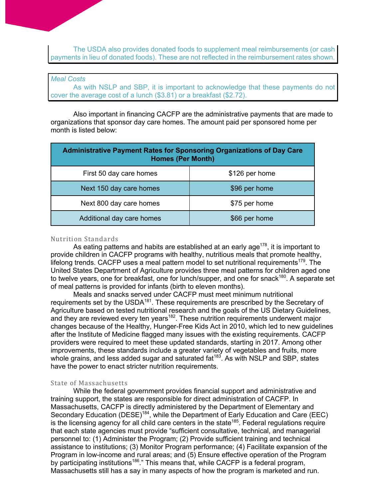The USDA also provides donated foods to supplement meal reimbursements (or cash payments in lieu of donated foods). These are not reflected in the reimbursement rates shown.

#### *Meal Costs*

As with NSLP and SBP, it is important to acknowledge that these payments do not cover the average cost of a lunch (\$3.81) or a breakfast (\$2.72).

Also important in financing CACFP are the administrative payments that are made to organizations that sponsor day care homes. The amount paid per sponsored home per month is listed below:

| <b>Administrative Payment Rates for Sponsoring Organizations of Day Care</b><br><b>Homes (Per Month)</b> |                |  |  |
|----------------------------------------------------------------------------------------------------------|----------------|--|--|
| First 50 day care homes                                                                                  | \$126 per home |  |  |
| Next 150 day care homes                                                                                  | \$96 per home  |  |  |
| Next 800 day care homes                                                                                  | \$75 per home  |  |  |
| Additional day care homes                                                                                | \$66 per home  |  |  |

#### Nutrition Standards

As eating patterns and habits are established at an early age<sup>178</sup>, it is important to provide children in CACFP programs with healthy, nutritious meals that promote healthy, lifelong trends. CACFP uses a meal pattern model to set nutritional requirements<sup>179</sup>. The United States Department of Agriculture provides three meal patterns for children aged one to twelve years, one for breakfast, one for lunch/supper, and one for snack<sup>180</sup>. A separate set of meal patterns is provided for infants (birth to eleven months).

Meals and snacks served under CACFP must meet minimum nutritional requirements set by the USDA<sup>181</sup>. These requirements are prescribed by the Secretary of Agriculture based on tested nutritional research and the goals of the US Dietary Guidelines, and they are reviewed every ten years<sup>182</sup>. These nutrition requirements underwent major changes because of the Healthy, Hunger-Free Kids Act in 2010, which led to new guidelines after the Institute of Medicine flagged many issues with the existing requirements. CACFP providers were required to meet these updated standards, starting in 2017. Among other improvements, these standards include a greater variety of vegetables and fruits, more whole grains, and less added sugar and saturated  $fat^{183}$ . As with NSLP and SBP, states have the power to enact stricter nutrition requirements.

#### State of Massachusetts

While the federal government provides financial support and administrative and training support, the states are responsible for direct administration of CACFP. In Massachusetts, CACFP is directly administered by the Department of Elementary and Secondary Education (DESE)<sup>184</sup>, while the Department of Early Education and Care (EEC) is the licensing agency for all child care centers in the state<sup>185</sup>. Federal regulations require that each state agencies must provide "sufficient consultative, technical, and managerial personnel to: (1) Administer the Program; (2) Provide sufficient training and technical assistance to institutions; (3) Monitor Program performance; (4) Facilitate expansion of the Program in low-income and rural areas; and (5) Ensure effective operation of the Program by participating institutions<sup>186</sup>." This means that, while CACFP is a federal program, Massachusetts still has a say in many aspects of how the program is marketed and run.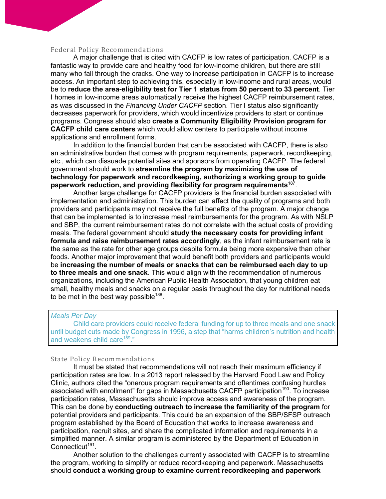#### Federal Policy Recommendations

A major challenge that is cited with CACFP is low rates of participation. CACFP is a fantastic way to provide care and healthy food for low-income children, but there are still many who fall through the cracks. One way to increase participation in CACFP is to increase access. An important step to achieving this, especially in low-income and rural areas, would be to **reduce the area-eligibility test for Tier 1 status from 50 percent to 33 percent**. Tier I homes in low-income areas automatically receive the highest CACFP reimbursement rates, as was discussed in the *Financing Under CACFP* section. Tier I status also significantly decreases paperwork for providers, which would incentivize providers to start or continue programs. Congress should also **create a Community Eligibility Provision program for CACFP child care centers** which would allow centers to participate without income applications and enrollment forms.

In addition to the financial burden that can be associated with CACFP, there is also an administrative burden that comes with program requirements, paperwork, recordkeeping, etc., which can dissuade potential sites and sponsors from operating CACFP. The federal government should work to **streamline the program by maximizing the use of technology for paperwork and recordkeeping, authorizing a working group to guide paperwork reduction, and providing flexibility for program requirements**187.

Another large challenge for CACFP providers is the financial burden associated with implementation and administration. This burden can affect the quality of programs and both providers and participants may not receive the full benefits of the program. A major change that can be implemented is to increase meal reimbursements for the program. As with NSLP and SBP, the current reimbursement rates do not correlate with the actual costs of providing meals. The federal government should **study the necessary costs for providing infant formula and raise reimbursement rates accordingly**, as the infant reimbursement rate is the same as the rate for other age groups despite formula being more expensive than other foods. Another major improvement that would benefit both providers and participants would be **increasing the number of meals or snacks that can be reimbursed each day to up to three meals and one snack**. This would align with the recommendation of numerous organizations, including the American Public Health Association, that young children eat small, healthy meals and snacks on a regular basis throughout the day for nutritional needs to be met in the best way possible<sup>188</sup>.

## *Meals Per Day*

Child care providers could receive federal funding for up to three meals and one snack until budget cuts made by Congress in 1996, a step that "harms children's nutrition and health and weakens child care<sup>189</sup>."

#### State Policy Recommendations

It must be stated that recommendations will not reach their maximum efficiency if participation rates are low. In a 2013 report released by the Harvard Food Law and Policy Clinic, authors cited the "onerous program requirements and oftentimes confusing hurdles associated with enrollment" for gaps in Massachusetts CACFP participation<sup>190</sup>. To increase participation rates, Massachusetts should improve access and awareness of the program. This can be done by **conducting outreach to increase the familiarity of the program** for potential providers and participants. This could be an expansion of the SBP/SFSP outreach program established by the Board of Education that works to increase awareness and participation, recruit sites, and share the complicated information and requirements in a simplified manner. A similar program is administered by the Department of Education in Connecticut<sup>191</sup>.

Another solution to the challenges currently associated with CACFP is to streamline the program, working to simplify or reduce recordkeeping and paperwork. Massachusetts should **conduct a working group to examine current recordkeeping and paperwork**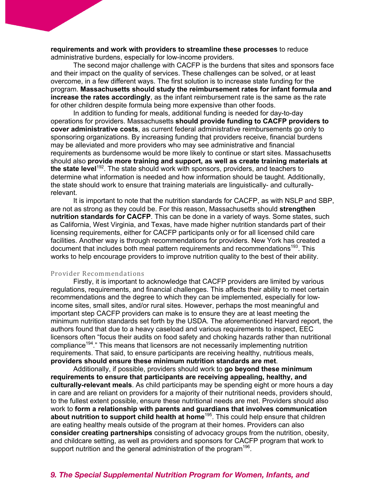**requirements and work with providers to streamline these processes** to reduce administrative burdens, especially for low-income providers.

The second major challenge with CACFP is the burdens that sites and sponsors face and their impact on the quality of services. These challenges can be solved, or at least overcome, in a few different ways. The first solution is to increase state funding for the program. **Massachusetts should study the reimbursement rates for infant formula and increase the rates accordingly**, as the infant reimbursement rate is the same as the rate for other children despite formula being more expensive than other foods.

In addition to funding for meals, additional funding is needed for day-to-day operations for providers. Massachusetts **should provide funding to CACFP providers to cover administrative costs**, as current federal administrative reimbursements go only to sponsoring organizations. By increasing funding that providers receive, financial burdens may be alleviated and more providers who may see administrative and financial requirements as burdensome would be more likely to continue or start sites. Massachusetts should also **provide more training and support, as well as create training materials at the state level**192. The state should work with sponsors, providers, and teachers to determine what information is needed and how information should be taught. Additionally, the state should work to ensure that training materials are linguistically- and culturallyrelevant.

It is important to note that the nutrition standards for CACFP, as with NSLP and SBP, are not as strong as they could be. For this reason, Massachusetts should **strengthen nutrition standards for CACFP**. This can be done in a variety of ways. Some states, such as California, West Virginia, and Texas, have made higher nutrition standards part of their licensing requirements, either for CACFP participants only or for all licensed child care facilities. Another way is through recommendations for providers. New York has created a document that includes both meal pattern requirements and recommendations<sup>193</sup>. This works to help encourage providers to improve nutrition quality to the best of their ability.

#### Provider Recommendations

Firstly, it is important to acknowledge that CACFP providers are limited by various regulations, requirements, and financial challenges. This affects their ability to meet certain recommendations and the degree to which they can be implemented, especially for lowincome sites, small sites, and/or rural sites. However, perhaps the most meaningful and important step CACFP providers can make is to ensure they are at least meeting the minimum nutrition standards set forth by the USDA. The aforementioned Harvard report, the authors found that due to a heavy caseload and various requirements to inspect, EEC licensors often "focus their audits on food safety and choking hazards rather than nutritional compliance<sup>194</sup>." This means that licensors are not necessarily implementing nutrition requirements. That said, to ensure participants are receiving healthy, nutritious meals, **providers should ensure these minimum nutrition standards are met**.

Additionally, if possible, providers should work to **go beyond these minimum requirements to ensure that participants are receiving appealing, healthy, and culturally-relevant meals**. As child participants may be spending eight or more hours a day in care and are reliant on providers for a majority of their nutritional needs, providers should, to the fullest extent possible, ensure these nutritional needs are met. Providers should also work to **form a relationship with parents and guardians that involves communication about nutrition to support child health at home**195. This could help ensure that children are eating healthy meals outside of the program at their homes. Providers can also **consider creating partnerships** consisting of advocacy groups from the nutrition, obesity, and childcare setting, as well as providers and sponsors for CACFP program that work to support nutrition and the general administration of the program<sup>196</sup>.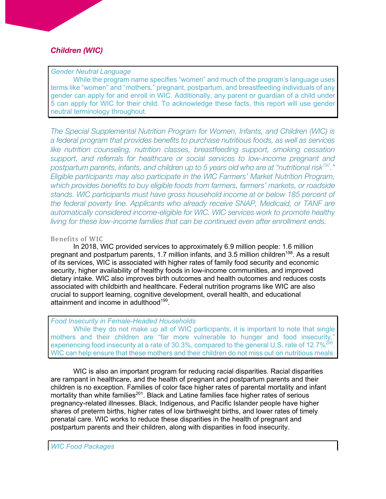## *Children (WIC)*

### *Gender Neutral Language*

While the program name specifies "women" and much of the program's language uses terms like "women" and "mothers," pregnant, postpartum, and breastfeeding individuals of any gender can apply for and enroll in WIC. Additionally, any parent or guardian of a child under 5 can apply for WIC for their child. To acknowledge these facts, this report will use gender neutral terminology throughout.

*The Special Supplemental Nutrition Program for Women, Infants, and Children (WIC) is a federal program that provides benefits to purchase nutritious foods, as well as services*  like nutrition counseling, nutrition classes, breastfeeding support, smoking cessation *support, and referrals for healthcare or social services to low-income pregnant and postpartum parents, infants, and children up to 5 years old who are at "nutritional risk197." Eligible participants may also participate in the WIC Farmers' Market Nutrition Program, which provides benefits to buy eligible foods from farmers, farmers' markets, or roadside stands. WIC participants must have gross household income at or below 185 percent of the federal poverty line. Applicants who already receive SNAP, Medicaid, or TANF are automatically considered income-eligible for WIC. WIC services work to promote healthy living for these low-income families that can be continued even after enrollment ends.*

## Benefits of WIC

In 2018, WIC provided services to approximately 6.9 million people: 1.6 million pregnant and postpartum parents, 1.7 million infants, and 3.5 million children<sup>198</sup>. As a result of its services, WIC is associated with higher rates of family food security and economic security, higher availability of healthy foods in low-income communities, and improved dietary intake. WIC also improves birth outcomes and health outcomes and reduces costs associated with childbirth and healthcare. Federal nutrition programs like WIC are also crucial to support learning, cognitive development, overall health, and educational attainment and income in adulthood<sup>199</sup>.

## *Food Insecurity in Female-Headed Households*

While they do not make up all of WIC participants, it is important to note that single mothers and their children are "far more vulnerable to hunger and food insecurity," experiencing food insecurity at a rate of 30.3%, compared to the general U.S. rate of 12.7%<sup>200</sup>. WIC can help ensure that these mothers and their children do not miss out on nutritious meals.

WIC is also an important program for reducing racial disparities. Racial disparities are rampant in healthcare, and the health of pregnant and postpartum parents and their children is no exception. Families of color face higher rates of parental mortality and infant mortality than white families<sup>201</sup>. Black and Latine families face higher rates of serious pregnancy-related illnesses. Black, Indigenous, and Pacific Islander people have higher shares of preterm births, higher rates of low birthweight births, and lower rates of timely prenatal care. WIC works to reduce these disparities in the health of pregnant and postpartum parents and their children, along with disparities in food insecurity.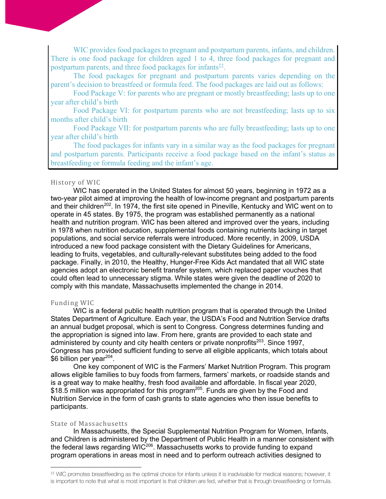WIC provides food packages to pregnant and postpartum parents, infants, and children. There is one food package for children aged 1 to 4, three food packages for pregnant and postpartum parents, and three food packages for infants<sup>‡‡</sup>.

The food packages for pregnant and postpartum parents varies depending on the parent's decision to breastfeed or formula feed. The food packages are laid out as follows:

Food Package V: for parents who are pregnant or mostly breastfeeding; lasts up to one year after child's birth

Food Package VI: for postpartum parents who are not breastfeeding; lasts up to six months after child's birth

Food Package VII: for postpartum parents who are fully breastfeeding; lasts up to one year after child's birth

The food packages for infants vary in a similar way as the food packages for pregnant and postpartum parents. Participants receive a food package based on the infant's status as breastfeeding or formula feeding and the infant's age.

#### History of WIC

WIC has operated in the United States for almost 50 years, beginning in 1972 as a two-year pilot aimed at improving the health of low-income pregnant and postpartum parents and their children<sup>202</sup>. In 1974, the first site opened in Pineville, Kentucky and WIC went on to operate in 45 states. By 1975, the program was established permanently as a national health and nutrition program. WIC has been altered and improved over the years, including in 1978 when nutrition education, supplemental foods containing nutrients lacking in target populations, and social service referrals were introduced. More recently, in 2009, USDA introduced a new food package consistent with the Dietary Guidelines for Americans, leading to fruits, vegetables, and culturally-relevant substitutes being added to the food package. Finally, in 2010, the Healthy, Hunger-Free Kids Act mandated that all WIC state agencies adopt an electronic benefit transfer system, which replaced paper vouches that could often lead to unnecessary stigma. While states were given the deadline of 2020 to comply with this mandate, Massachusetts implemented the change in 2014.

#### Funding WIC

WIC is a federal public health nutrition program that is operated through the United States Department of Agriculture. Each year, the USDA's Food and Nutrition Service drafts an annual budget proposal, which is sent to Congress. Congress determines funding and the appropriation is signed into law. From here, grants are provided to each state and administered by county and city health centers or private nonprofits<sup>203</sup>. Since 1997, Congress has provided sufficient funding to serve all eligible applicants, which totals about \$6 billion per year<sup>204</sup>.

One key component of WIC is the Farmers' Market Nutrition Program. This program allows eligible families to buy foods from farmers, farmers' markets, or roadside stands and is a great way to make healthy, fresh food available and affordable. In fiscal year 2020, \$18.5 million was appropriated for this program<sup>205</sup>. Funds are given by the Food and Nutrition Service in the form of cash grants to state agencies who then issue benefits to participants.

#### State of Massachusetts

In Massachusetts, the Special Supplemental Nutrition Program for Women, Infants, and Children is administered by the Department of Public Health in a manner consistent with the federal laws regarding WIC<sup>206</sup>. Massachusetts works to provide funding to expand program operations in areas most in need and to perform outreach activities designed to

<sup>‡‡</sup> WIC promotes breastfeeding as the optimal choice for infants unless it is inadvisable for medical reasons; however, it is important to note that what is most important is that children are fed, whether that is through breastfeeding or formula.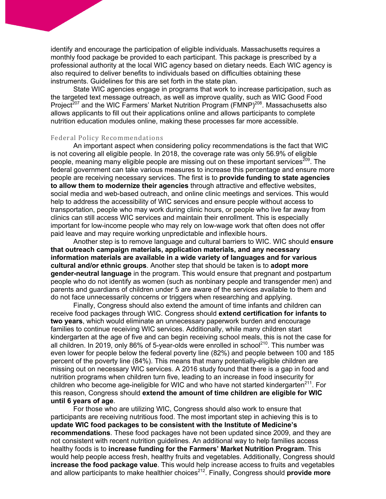identify and encourage the participation of eligible individuals. Massachusetts requires a monthly food package be provided to each participant. This package is prescribed by a professional authority at the local WIC agency based on dietary needs. Each WIC agency is also required to deliver benefits to individuals based on difficulties obtaining these instruments. Guidelines for this are set forth in the state plan.

State WIC agencies engage in programs that work to increase participation, such as the targeted text message outreach, as well as improve quality, such as WIC Good Food Project<sup>207</sup> and the WIC Farmers' Market Nutrition Program (FMNP)<sup>208</sup>. Massachusetts also allows applicants to fill out their applications online and allows participants to complete nutrition education modules online, making these processes far more accessible.

#### Federal Policy Recommendations

An important aspect when considering policy recommendations is the fact that WIC is not covering all eligible people. In 2018, the coverage rate was only 56.9% of eligible people, meaning many eligible people are missing out on these important services<sup>209</sup>. The federal government can take various measures to increase this percentage and ensure more people are receiving necessary services. The first is to **provide funding to state agencies to allow them to modernize their agencies** through attractive and effective websites, social media and web-based outreach, and online clinic meetings and services. This would help to address the accessibility of WIC services and ensure people without access to transportation, people who may work during clinic hours, or people who live far away from clinics can still access WIC services and maintain their enrollment. This is especially important for low-income people who may rely on low-wage work that often does not offer paid leave and may require working unpredictable and inflexible hours.

Another step is to remove language and cultural barriers to WIC. WIC should **ensure that outreach campaign materials, application materials, and any necessary information materials are available in a wide variety of languages and for various cultural and/or ethnic groups**. Another step that should be taken is to **adopt more gender-neutral language** in the program. This would ensure that pregnant and postpartum people who do not identify as women (such as nonbinary people and transgender men) and parents and guardians of children under 5 are aware of the services available to them and do not face unnecessarily concerns or triggers when researching and applying.

Finally, Congress should also extend the amount of time infants and children can receive food packages through WIC. Congress should **extend certification for infants to two years**, which would eliminate an unnecessary paperwork burden and encourage families to continue receiving WIC services. Additionally, while many children start kindergarten at the age of five and can begin receiving school meals, this is not the case for all children. In 2019, only 86% of 5-year-olds were enrolled in school<sup>210</sup>. This number was even lower for people below the federal poverty line (82%) and people between 100 and 185 percent of the poverty line (84%). This means that many potentially-eligible children are missing out on necessary WIC services. A 2016 study found that there is a gap in food and nutrition programs when children turn five, leading to an increase in food insecurity for children who become age-ineligible for WIC and who have not started kindergarten $^{211}$ . For this reason, Congress should **extend the amount of time children are eligible for WIC until 6 years of age**.

For those who are utilizing WIC, Congress should also work to ensure that participants are receiving nutritious food. The most important step in achieving this is to **update WIC food packages to be consistent with the Institute of Medicine's recommendations**. These food packages have not been updated since 2009, and they are not consistent with recent nutrition guidelines. An additional way to help families access healthy foods is to **increase funding for the Farmers' Market Nutrition Program**. This would help people access fresh, healthy fruits and vegetables. Additionally, Congress should **increase the food package value**. This would help increase access to fruits and vegetables and allow participants to make healthier choices<sup>212</sup>. Finally, Congress should **provide more**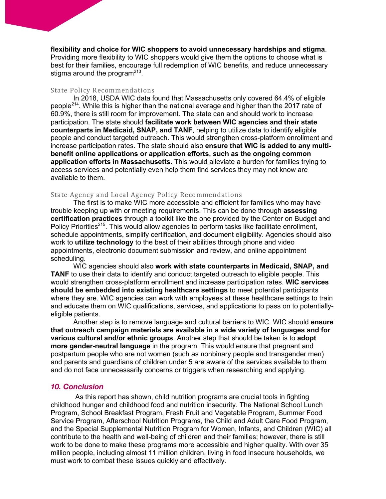#### **flexibility and choice for WIC shoppers to avoid unnecessary hardships and stigma**.

Providing more flexibility to WIC shoppers would give them the options to choose what is best for their families, encourage full redemption of WIC benefits, and reduce unnecessary stigma around the program $213$ .

#### State Policy Recommendations

In 2018, USDA WIC data found that Massachusetts only covered 64.4% of eligible people<sup>214</sup>. While this is higher than the national average and higher than the 2017 rate of 60.9%, there is still room for improvement. The state can and should work to increase participation. The state should **facilitate work between WIC agencies and their state counterparts in Medicaid, SNAP, and TANF**, helping to utilize data to identify eligible people and conduct targeted outreach. This would strengthen cross-platform enrollment and increase participation rates. The state should also **ensure that WIC is added to any multibenefit online applications or application efforts, such as the ongoing common application efforts in Massachusetts**. This would alleviate a burden for families trying to access services and potentially even help them find services they may not know are available to them.

#### State Agency and Local Agency Policy Recommendations

The first is to make WIC more accessible and efficient for families who may have trouble keeping up with or meeting requirements. This can be done through **assessing certification practices** through a toolkit like the one provided by the Center on Budget and Policy Priorities<sup>215</sup>. This would allow agencies to perform tasks like facilitate enrollment, schedule appointments, simplify certification, and document eligibility. Agencies should also work to **utilize technology** to the best of their abilities through phone and video appointments, electronic document submission and review, and online appointment scheduling.

WIC agencies should also **work with state counterparts in Medicaid, SNAP, and TANF** to use their data to identify and conduct targeted outreach to eligible people. This would strengthen cross-platform enrollment and increase participation rates. **WIC services should be embedded into existing healthcare settings** to meet potential participants where they are. WIC agencies can work with employees at these healthcare settings to train and educate them on WIC qualifications, services, and applications to pass on to potentiallyeligible patients.

Another step is to remove language and cultural barriers to WIC. WIC should **ensure that outreach campaign materials are available in a wide variety of languages and for various cultural and/or ethnic groups**. Another step that should be taken is to **adopt more gender-neutral language** in the program. This would ensure that pregnant and postpartum people who are not women (such as nonbinary people and transgender men) and parents and guardians of children under 5 are aware of the services available to them and do not face unnecessarily concerns or triggers when researching and applying.

#### *10. Conclusion*

As this report has shown, child nutrition programs are crucial tools in fighting childhood hunger and childhood food and nutrition insecurity. The National School Lunch Program, School Breakfast Program, Fresh Fruit and Vegetable Program, Summer Food Service Program, Afterschool Nutrition Programs, the Child and Adult Care Food Program, and the Special Supplemental Nutrition Program for Women, Infants, and Children (WIC) all contribute to the health and well-being of children and their families; however, there is still work to be done to make these programs more accessible and higher quality. With over 35 million people, including almost 11 million children, living in food insecure households, we must work to combat these issues quickly and effectively.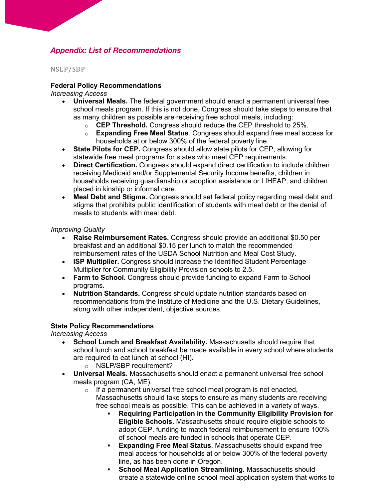## *Appendix: List of Recommendations*

NSLP/SBP

## **Federal Policy Recommendations**

*Increasing Access*

- **Universal Meals.** The federal government should enact a permanent universal free school meals program. If this is not done, Congress should take steps to ensure that as many children as possible are receiving free school meals, including:
	- o **CEP Threshold.** Congress should reduce the CEP threshold to 25%.
	- o **Expanding Free Meal Status**. Congress should expand free meal access for households at or below 300% of the federal poverty line.
- **State Pilots for CEP.** Congress should allow state pilots for CEP, allowing for statewide free meal programs for states who meet CEP requirements.
- **Direct Certification.** Congress should expand direct certification to include children receiving Medicaid and/or Supplemental Security Income benefits, children in households receiving guardianship or adoption assistance or LIHEAP, and children placed in kinship or informal care.
- **Meal Debt and Stigma.** Congress should set federal policy regarding meal debt and stigma that prohibits public identification of students with meal debt or the denial of meals to students with meal debt.

## *Improving Quality*

- **Raise Reimbursement Rates.** Congress should provide an additional \$0.50 per breakfast and an additional \$0.15 per lunch to match the recommended reimbursement rates of the USDA School Nutrition and Meal Cost Study.
- **ISP Multiplier.** Congress should increase the Identified Student Percentage Multiplier for Community Eligibility Provision schools to 2.5.
- **Farm to School.** Congress should provide funding to expand Farm to School programs.
- **Nutrition Standards.** Congress should update nutrition standards based on recommendations from the Institute of Medicine and the U.S. Dietary Guidelines, along with other independent, objective sources.

## **State Policy Recommendations**

*Increasing Access*

- **School Lunch and Breakfast Availability.** Massachusetts should require that school lunch and school breakfast be made available in every school where students are required to eat lunch at school (HI).
	- o NSLP/SBP requirement?
- **Universal Meals.** Massachusetts should enact a permanent universal free school meals program (CA, ME).
	- $\circ$  If a permanent universal free school meal program is not enacted, Massachusetts should take steps to ensure as many students are receiving free school meals as possible. This can be achieved in a variety of ways.
		- § **Requiring Participation in the Community Eligibility Provision for Eligible Schools.** Massachusetts should require eligible schools to adopt CEP. funding to match federal reimbursement to ensure 100% of school meals are funded in schools that operate CEP.
		- **Expanding Free Meal Status.** Massachusetts should expand free meal access for households at or below 300% of the federal poverty line, as has been done in Oregon.
		- § **School Meal Application Streamlining.** Massachusetts should create a statewide online school meal application system that works to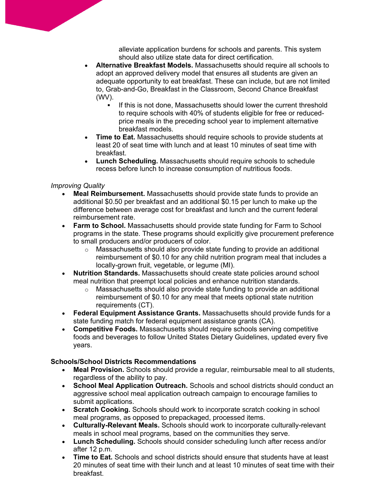alleviate application burdens for schools and parents. This system should also utilize state data for direct certification.

- **Alternative Breakfast Models.** Massachusetts should require all schools to adopt an approved delivery model that ensures all students are given an adequate opportunity to eat breakfast. These can include, but are not limited to, Grab-and-Go, Breakfast in the Classroom, Second Chance Breakfast (WV).
	- If this is not done, Massachusetts should lower the current threshold to require schools with 40% of students eligible for free or reducedprice meals in the preceding school year to implement alternative breakfast models.
- **Time to Eat.** Massachusetts should require schools to provide students at least 20 of seat time with lunch and at least 10 minutes of seat time with breakfast.
- **Lunch Scheduling.** Massachusetts should require schools to schedule recess before lunch to increase consumption of nutritious foods.

## *Improving Quality*

- **Meal Reimbursement.** Massachusetts should provide state funds to provide an additional \$0.50 per breakfast and an additional \$0.15 per lunch to make up the difference between average cost for breakfast and lunch and the current federal reimbursement rate.
- **Farm to School.** Massachusetts should provide state funding for Farm to School programs in the state. These programs should explicitly give procurement preference to small producers and/or producers of color.
	- o Massachusetts should also provide state funding to provide an additional reimbursement of \$0.10 for any child nutrition program meal that includes a locally-grown fruit, vegetable, or legume (MI).
- **Nutrition Standards.** Massachusetts should create state policies around school meal nutrition that preempt local policies and enhance nutrition standards.
	- o Massachusetts should also provide state funding to provide an additional reimbursement of \$0.10 for any meal that meets optional state nutrition requirements (CT).
- **Federal Equipment Assistance Grants.** Massachusetts should provide funds for a state funding match for federal equipment assistance grants (CA).
- **Competitive Foods.** Massachusetts should require schools serving competitive foods and beverages to follow United States Dietary Guidelines, updated every five years.

## **Schools/School Districts Recommendations**

- **Meal Provision.** Schools should provide a regular, reimbursable meal to all students, regardless of the ability to pay.
- **School Meal Application Outreach.** Schools and school districts should conduct an aggressive school meal application outreach campaign to encourage families to submit applications.
- **Scratch Cooking.** Schools should work to incorporate scratch cooking in school meal programs, as opposed to prepackaged, processed items.
- **Culturally-Relevant Meals.** Schools should work to incorporate culturally-relevant meals in school meal programs, based on the communities they serve.
- **Lunch Scheduling.** Schools should consider scheduling lunch after recess and/or after 12 p.m.
- **Time to Eat.** Schools and school districts should ensure that students have at least 20 minutes of seat time with their lunch and at least 10 minutes of seat time with their breakfast.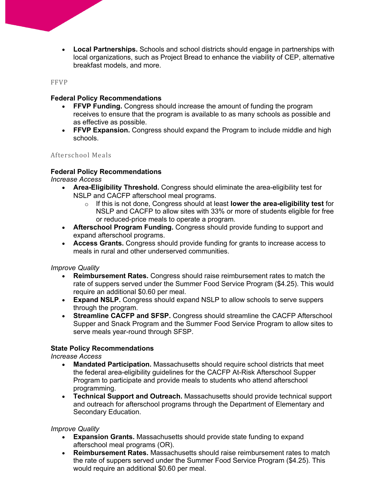• **Local Partnerships.** Schools and school districts should engage in partnerships with local organizations, such as Project Bread to enhance the viability of CEP, alternative breakfast models, and more.

FFVP

## **Federal Policy Recommendations**

- **FFVP Funding.** Congress should increase the amount of funding the program receives to ensure that the program is available to as many schools as possible and as effective as possible.
- **FFVP Expansion.** Congress should expand the Program to include middle and high schools.

Afterschool Meals

## **Federal Policy Recommendations**

*Increase Access*

- **Area-Eligibility Threshold.** Congress should eliminate the area-eligibility test for NSLP and CACFP afterschool meal programs.
	- o If this is not done, Congress should at least **lower the area-eligibility test** for NSLP and CACFP to allow sites with 33% or more of students eligible for free or reduced-price meals to operate a program.
- **Afterschool Program Funding.** Congress should provide funding to support and expand afterschool programs.
- **Access Grants.** Congress should provide funding for grants to increase access to meals in rural and other underserved communities.

## *Improve Quality*

- **Reimbursement Rates.** Congress should raise reimbursement rates to match the rate of suppers served under the Summer Food Service Program (\$4.25). This would require an additional \$0.60 per meal.
- **Expand NSLP.** Congress should expand NSLP to allow schools to serve suppers through the program.
- **Streamline CACFP and SFSP.** Congress should streamline the CACFP Afterschool Supper and Snack Program and the Summer Food Service Program to allow sites to serve meals year-round through SFSP.

## **State Policy Recommendations**

*Increase Access*

- **Mandated Participation.** Massachusetts should require school districts that meet the federal area-eligibility guidelines for the CACFP At-Risk Afterschool Supper Program to participate and provide meals to students who attend afterschool programming.
- **Technical Support and Outreach.** Massachusetts should provide technical support and outreach for afterschool programs through the Department of Elementary and Secondary Education.

## *Improve Quality*

- **Expansion Grants.** Massachusetts should provide state funding to expand afterschool meal programs (OR).
- **Reimbursement Rates.** Massachusetts should raise reimbursement rates to match the rate of suppers served under the Summer Food Service Program (\$4.25). This would require an additional \$0.60 per meal.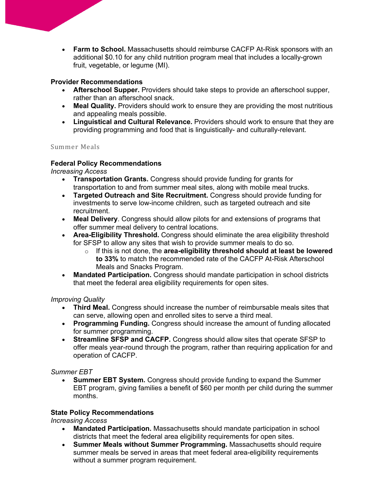• **Farm to School.** Massachusetts should reimburse CACFP At-Risk sponsors with an additional \$0.10 for any child nutrition program meal that includes a locally-grown fruit, vegetable, or legume (MI).

## **Provider Recommendations**

- **Afterschool Supper.** Providers should take steps to provide an afterschool supper, rather than an afterschool snack.
- **Meal Quality.** Providers should work to ensure they are providing the most nutritious and appealing meals possible.
- **Linguistical and Cultural Relevance.** Providers should work to ensure that they are providing programming and food that is linguistically- and culturally-relevant.

## Summer Meals

## **Federal Policy Recommendations**

*Increasing Access*

- **Transportation Grants.** Congress should provide funding for grants for transportation to and from summer meal sites, along with mobile meal trucks.
- **Targeted Outreach and Site Recruitment.** Congress should provide funding for investments to serve low-income children, such as targeted outreach and site recruitment.
- **Meal Delivery**. Congress should allow pilots for and extensions of programs that offer summer meal delivery to central locations.
- **Area-Eligibility Threshold.** Congress should eliminate the area eligibility threshold for SFSP to allow any sites that wish to provide summer meals to do so.
	- o If this is not done, the **area-eligibility threshold should at least be lowered to 33%** to match the recommended rate of the CACFP At-Risk Afterschool Meals and Snacks Program.
- **Mandated Participation.** Congress should mandate participation in school districts that meet the federal area eligibility requirements for open sites.

## *Improving Quality*

- **Third Meal.** Congress should increase the number of reimbursable meals sites that can serve, allowing open and enrolled sites to serve a third meal.
- **Programming Funding.** Congress should increase the amount of funding allocated for summer programming.
- **Streamline SFSP and CACFP.** Congress should allow sites that operate SFSP to offer meals year-round through the program, rather than requiring application for and operation of CACFP.

## *Summer EBT*

• **Summer EBT System.** Congress should provide funding to expand the Summer EBT program, giving families a benefit of \$60 per month per child during the summer months.

## **State Policy Recommendations**

*Increasing Access*

- **Mandated Participation.** Massachusetts should mandate participation in school districts that meet the federal area eligibility requirements for open sites.
- **Summer Meals without Summer Programming.** Massachusetts should require summer meals be served in areas that meet federal area-eligibility requirements without a summer program requirement.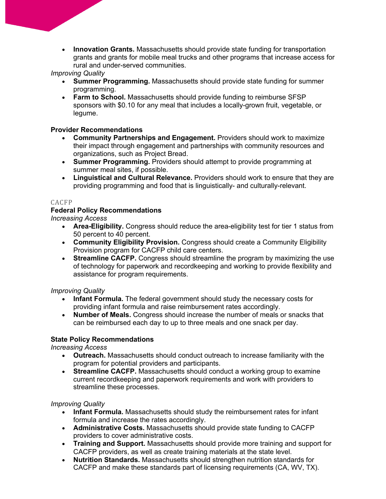• **Innovation Grants.** Massachusetts should provide state funding for transportation grants and grants for mobile meal trucks and other programs that increase access for rural and under-served communities.

*Improving Quality*

- **Summer Programming.** Massachusetts should provide state funding for summer programming.
- **Farm to School.** Massachusetts should provide funding to reimburse SFSP sponsors with \$0.10 for any meal that includes a locally-grown fruit, vegetable, or legume.

## **Provider Recommendations**

- **Community Partnerships and Engagement.** Providers should work to maximize their impact through engagement and partnerships with community resources and organizations, such as Project Bread.
- **Summer Programming.** Providers should attempt to provide programming at summer meal sites, if possible.
- **Linguistical and Cultural Relevance.** Providers should work to ensure that they are providing programming and food that is linguistically- and culturally-relevant.

## CACFP

## **Federal Policy Recommendations**

*Increasing Access*

- **Area-Eligibility.** Congress should reduce the area-eligibility test for tier 1 status from 50 percent to 40 percent.
- **Community Eligibility Provision.** Congress should create a Community Eligibility Provision program for CACFP child care centers.
- **Streamline CACFP.** Congress should streamline the program by maximizing the use of technology for paperwork and recordkeeping and working to provide flexibility and assistance for program requirements.

*Improving Quality*

- **Infant Formula.** The federal government should study the necessary costs for providing infant formula and raise reimbursement rates accordingly.
- **Number of Meals.** Congress should increase the number of meals or snacks that can be reimbursed each day to up to three meals and one snack per day.

## **State Policy Recommendations**

*Increasing Access*

- **Outreach.** Massachusetts should conduct outreach to increase familiarity with the program for potential providers and participants.
- **Streamline CACFP.** Massachusetts should conduct a working group to examine current recordkeeping and paperwork requirements and work with providers to streamline these processes.

## *Improving Quality*

- **Infant Formula.** Massachusetts should study the reimbursement rates for infant formula and increase the rates accordingly.
- **Administrative Costs.** Massachusetts should provide state funding to CACFP providers to cover administrative costs.
- **Training and Support.** Massachusetts should provide more training and support for CACFP providers, as well as create training materials at the state level.
- **Nutrition Standards.** Massachusetts should strengthen nutrition standards for CACFP and make these standards part of licensing requirements (CA, WV, TX).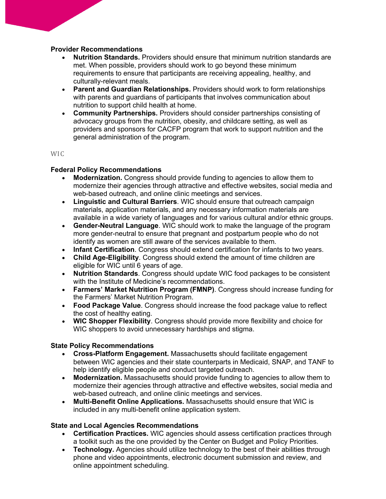## **Provider Recommendations**

- **Nutrition Standards.** Providers should ensure that minimum nutrition standards are met. When possible, providers should work to go beyond these minimum requirements to ensure that participants are receiving appealing, healthy, and culturally-relevant meals.
- **Parent and Guardian Relationships.** Providers should work to form relationships with parents and guardians of participants that involves communication about nutrition to support child health at home.
- **Community Partnerships.** Providers should consider partnerships consisting of advocacy groups from the nutrition, obesity, and childcare setting, as well as providers and sponsors for CACFP program that work to support nutrition and the general administration of the program.

W<sub>IC</sub>

## **Federal Policy Recommendations**

- **Modernization.** Congress should provide funding to agencies to allow them to modernize their agencies through attractive and effective websites, social media and web-based outreach, and online clinic meetings and services.
- **Linguistic and Cultural Barriers**. WIC should ensure that outreach campaign materials, application materials, and any necessary information materials are available in a wide variety of languages and for various cultural and/or ethnic groups.
- **Gender-Neutral Language**. WIC should work to make the language of the program more gender-neutral to ensure that pregnant and postpartum people who do not identify as women are still aware of the services available to them.
- **Infant Certification**. Congress should extend certification for infants to two years.
- **Child Age-Eligibility**. Congress should extend the amount of time children are eligible for WIC until 6 years of age.
- **Nutrition Standards**. Congress should update WIC food packages to be consistent with the Institute of Medicine's recommendations.
- **Farmers' Market Nutrition Program (FMNP)**. Congress should increase funding for the Farmers' Market Nutrition Program.
- **Food Package Value**. Congress should increase the food package value to reflect the cost of healthy eating.
- **WIC Shopper Flexibility**. Congress should provide more flexibility and choice for WIC shoppers to avoid unnecessary hardships and stigma.

#### **State Policy Recommendations**

- **Cross-Platform Engagement.** Massachusetts should facilitate engagement between WIC agencies and their state counterparts in Medicaid, SNAP, and TANF to help identify eligible people and conduct targeted outreach.
- **Modernization.** Massachusetts should provide funding to agencies to allow them to modernize their agencies through attractive and effective websites, social media and web-based outreach, and online clinic meetings and services.
- **Multi-Benefit Online Applications.** Massachusetts should ensure that WIC is included in any multi-benefit online application system.

#### **State and Local Agencies Recommendations**

- **Certification Practices.** WIC agencies should assess certification practices through a toolkit such as the one provided by the Center on Budget and Policy Priorities.
- **Technology.** Agencies should utilize technology to the best of their abilities through phone and video appointments, electronic document submission and review, and online appointment scheduling.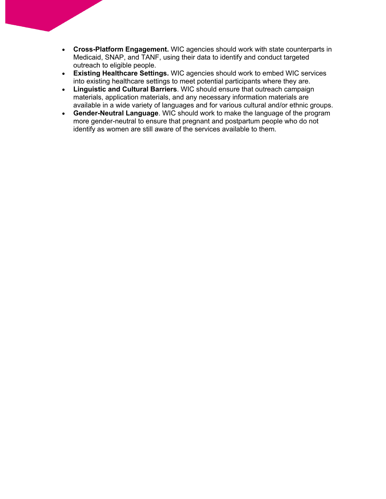- **Cross-Platform Engagement.** WIC agencies should work with state counterparts in Medicaid, SNAP, and TANF, using their data to identify and conduct targeted outreach to eligible people.
- **Existing Healthcare Settings.** WIC agencies should work to embed WIC services into existing healthcare settings to meet potential participants where they are.
- **Linguistic and Cultural Barriers**. WIC should ensure that outreach campaign materials, application materials, and any necessary information materials are available in a wide variety of languages and for various cultural and/or ethnic groups.
- **Gender-Neutral Language**. WIC should work to make the language of the program more gender-neutral to ensure that pregnant and postpartum people who do not identify as women are still aware of the services available to them.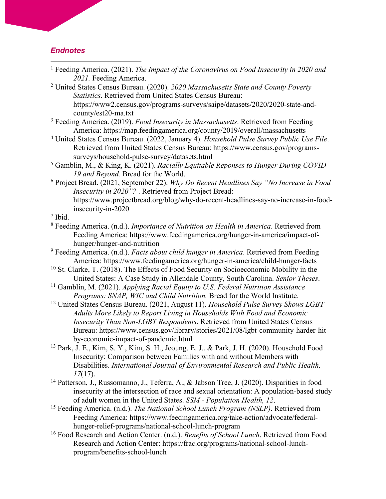## *Endnotes*

| <sup>1</sup> Feeding America. (2021). The Impact of the Coronavirus on Food Insecurity in 2020 and |  |  |  |
|----------------------------------------------------------------------------------------------------|--|--|--|
| 2021. Feeding America.                                                                             |  |  |  |

- <sup>2</sup> United States Census Bureau. (2020). *2020 Massachusetts State and County Poverty Statistics*. Retrieved from United States Census Bureau: https://www2.census.gov/programs-surveys/saipe/datasets/2020/2020-state-andcounty/est20-ma.txt
- <sup>3</sup> Feeding America. (2019). *Food Insecurity in Massachusetts*. Retrieved from Feeding America: https://map.feedingamerica.org/county/2019/overall/massachusetts
- <sup>4</sup> United States Census Bureau. (2022, January 4). *Household Pulse Survey Public Use File*. Retrieved from United States Census Bureau: https://www.census.gov/programssurveys/household-pulse-survey/datasets.html
- <sup>5</sup> Gamblin, M., & King, K. (2021). *Racially Equitable Reponses to Hunger During COVID-19 and Beyond.* Bread for the World.
- <sup>6</sup> Project Bread. (2021, September 22). *Why Do Recent Headlines Say "No Increase in Food Insecurity in 2020"?* . Retrieved from Project Bread: https://www.projectbread.org/blog/why-do-recent-headlines-say-no-increase-in-foodinsecurity-in-2020

<sup>7</sup> Ibid.

- <sup>8</sup> Feeding America. (n.d.). *Importance of Nutrition on Health in America*. Retrieved from Feeding America: https://www.feedingamerica.org/hunger-in-america/impact-ofhunger/hunger-and-nutrition
- <sup>9</sup> Feeding America. (n.d.). *Facts about child hunger in America*. Retrieved from Feeding America: https://www.feedingamerica.org/hunger-in-america/child-hunger-facts
- $10$  St. Clarke, T. (2018). The Effects of Food Security on Socioeconomic Mobility in the United States: A Case Study in Allendale County, South Carolina. *Senior Theses*.
- <sup>11</sup> Gamblin, M. (2021). *Applying Racial Equity to U.S. Federal Nutrition Assistance Programs: SNAP, WIC and Child Nutrition.* Bread for the World Institute.
- <sup>12</sup> United States Census Bureau. (2021, August 11). *Household Pulse Survey Shows LGBT Adults More Likely to Report Living in Households With Food and Economic Insecurity Than Non-LGBT Respondents*. Retrieved from United States Census Bureau: https://www.census.gov/library/stories/2021/08/lgbt-community-harder-hitby-economic-impact-of-pandemic.html
- <sup>13</sup> Park, J. E., Kim, S. Y., Kim, S. H., Jeoung, E. J., & Park, J. H. (2020). Household Food Insecurity: Comparison between Families with and without Members with Disabilities. *International Journal of Environmental Research and Public Health, 17*(17).
- <sup>14</sup> Patterson, J., Russomanno, J., Teferra, A., & Jabson Tree, J. (2020). Disparities in food insecurity at the intersection of race and sexual orientation: A population-based study of adult women in the United States. *SSM - Population Health, 12*.
- <sup>15</sup> Feeding America. (n.d.). *The National School Lunch Program (NSLP)*. Retrieved from Feeding America: https://www.feedingamerica.org/take-action/advocate/federalhunger-relief-programs/national-school-lunch-program
- <sup>16</sup> Food Research and Action Center. (n.d.). *Benefits of School Lunch*. Retrieved from Food Research and Action Center: https://frac.org/programs/national-school-lunchprogram/benefits-school-lunch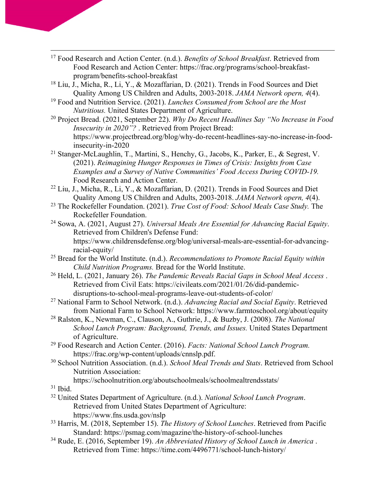- <sup>17</sup> Food Research and Action Center. (n.d.). *Benefits of School Breakfast*. Retrieved from Food Research and Action Center: https://frac.org/programs/school-breakfastprogram/benefits-school-breakfast
- <sup>18</sup> Liu, J., Micha, R., Li, Y., & Mozaffarian, D. (2021). Trends in Food Sources and Diet Quality Among US Children and Adults, 2003-2018. *JAMA Network opern, 4*(4).
- <sup>19</sup> Food and Nutrition Service. (2021). *Lunches Consumed from School are the Most Nutritious.* United States Department of Agriculture.
- <sup>20</sup> Project Bread. (2021, September 22). *Why Do Recent Headlines Say "No Increase in Food Insecurity in 2020"?* . Retrieved from Project Bread: https://www.projectbread.org/blog/why-do-recent-headlines-say-no-increase-in-foodinsecurity-in-2020
- <sup>21</sup> Stanger-McLaughlin, T., Martini, S., Henchy, G., Jacobs, K., Parker, E., & Segrest, V. (2021). *Reimagining Hunger Responses in Times of Crisis: Insights from Case Examples and a Survey of Native Communities' Food Access During COVID-19.* Food Research and Action Center.
- <sup>22</sup> Liu, J., Micha, R., Li, Y., & Mozaffarian, D. (2021). Trends in Food Sources and Diet Quality Among US Children and Adults, 2003-2018. *JAMA Network opern, 4*(4).
- <sup>23</sup> The Rockefeller Foundation. (2021). *True Cost of Food: School Meals Case Study.* The Rockefeller Foundation.
- <sup>24</sup> Sowa, A. (2021, August 27). *Universal Meals Are Essential for Advancing Racial Equity*. Retrieved from Children's Defense Fund: https://www.childrensdefense.org/blog/universal-meals-are-essential-for-advancingracial-equity/
- <sup>25</sup> Bread for the World Institute. (n.d.). *Recommendations to Promote Racial Equity within Child Nutrition Programs.* Bread for the World Institute.
- <sup>26</sup> Held, L. (2021, January 26). *The Pandemic Reveals Racial Gaps in School Meal Access* . Retrieved from Civil Eats: https://civileats.com/2021/01/26/did-pandemicdisruptions-to-school-meal-programs-leave-out-students-of-color/
- <sup>27</sup> National Farm to School Network. (n.d.). *Advancing Racial and Social Equity*. Retrieved from National Farm to School Network: https://www.farmtoschool.org/about/equity
- <sup>28</sup> Ralston, K., Newman, C., Clauson, A., Guthrie, J., & Buzby, J. (2008). *The National School Lunch Program: Background, Trends, and Issues.* United States Department of Agriculture.
- <sup>29</sup> Food Research and Action Center. (2016). *Facts: National School Lunch Program.* https://frac.org/wp-content/uploads/cnnslp.pdf.
- <sup>30</sup> School Nutrition Association. (n.d.). *School Meal Trends and Stats*. Retrieved from School Nutrition Association:

https://schoolnutrition.org/aboutschoolmeals/schoolmealtrendsstats/

- $31$  Ibid.
- <sup>32</sup> United States Department of Agriculture. (n.d.). *National School Lunch Program*. Retrieved from United States Department of Agriculture: https://www.fns.usda.gov/nslp
- <sup>33</sup> Harris, M. (2018, September 15). *The History of School Lunches*. Retrieved from Pacific Standard: https://psmag.com/magazine/the-history-of-school-lunches
- <sup>34</sup> Rude, E. (2016, September 19). *An Abbreviated History of School Lunch in America* . Retrieved from Time: https://time.com/4496771/school-lunch-history/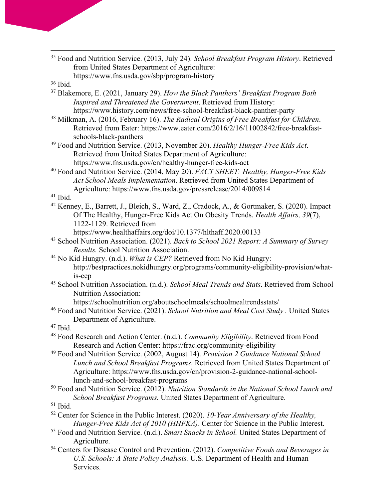<sup>35</sup> Food and Nutrition Service. (2013, July 24). *School Breakfast Program History*. Retrieved from United States Department of Agriculture: https://www.fns.usda.gov/sbp/program-history

- <sup>37</sup> Blakemore, E. (2021, January 29). *How the Black Panthers' Breakfast Program Both Inspired and Threatened the Government*. Retrieved from History: https://www.history.com/news/free-school-breakfast-black-panther-party
- <sup>38</sup> Milkman, A. (2016, February 16). *The Radical Origins of Free Breakfast for Children*. Retrieved from Eater: https://www.eater.com/2016/2/16/11002842/free-breakfastschools-black-panthers
- <sup>39</sup> Food and Nutrition Service. (2013, November 20). *Healthy Hunger-Free Kids Act*. Retrieved from United States Department of Agriculture: https://www.fns.usda.gov/cn/healthy-hunger-free-kids-act
- <sup>40</sup> Food and Nutrition Service. (2014, May 20). *FACT SHEET: Healthy, Hunger-Free Kids Act School Meals Implementation*. Retrieved from United States Department of Agriculture: https://www.fns.usda.gov/pressrelease/2014/009814

<sup>41</sup> Ibid.

<sup>42</sup> Kenney, E., Barrett, J., Bleich, S., Ward, Z., Cradock, A., & Gortmaker, S. (2020). Impact Of The Healthy, Hunger-Free Kids Act On Obesity Trends. *Health Affairs, 39*(7), 1122-1129. Retrieved from

https://www.healthaffairs.org/doi/10.1377/hlthaff.2020.00133

- <sup>43</sup> School Nutrition Association. (2021). *Back to School 2021 Report: A Summary of Survey Results.* School Nutrition Association.
- <sup>44</sup> No Kid Hungry. (n.d.). *What is CEP?* Retrieved from No Kid Hungry: http://bestpractices.nokidhungry.org/programs/community-eligibility-provision/whatis-cep
- <sup>45</sup> School Nutrition Association. (n.d.). *School Meal Trends and Stats*. Retrieved from School Nutrition Association:

https://schoolnutrition.org/aboutschoolmeals/schoolmealtrendsstats/

<sup>46</sup> Food and Nutrition Service. (2021). *School Nutrition and Meal Cost Study .* United States Department of Agriculture.

 $47$  Ibid.

- <sup>48</sup> Food Research and Action Center. (n.d.). *Community Eligibility*. Retrieved from Food Research and Action Center: https://frac.org/community-eligibility
- <sup>49</sup> Food and Nutrition Service. (2002, August 14). *Provision 2 Guidance National School Lunch and School Breakfast Programs*. Retrieved from United States Department of Agriculture: https://www.fns.usda.gov/cn/provision-2-guidance-national-schoollunch-and-school-breakfast-programs
- <sup>50</sup> Food and Nutrition Service. (2012). *Nutrition Standards in the National School Lunch and School Breakfast Programs.* United States Department of Agriculture.

- <sup>52</sup> Center for Science in the Public Interest. (2020). *10-Year Anniversary of the Healthy, Hunger-Free Kids Act of 2010 (HHFKA)*. Center for Science in the Public Interest.
- <sup>53</sup> Food and Nutrition Service. (n.d.). *Smart Snacks in School.* United States Department of Agriculture.
- <sup>54</sup> Centers for Disease Control and Prevention. (2012). *Competitive Foods and Beverages in U.S. Schools: A State Policy Analysis.* U.S. Department of Health and Human Services.

<sup>36</sup> Ibid.

 $51$  Ibid.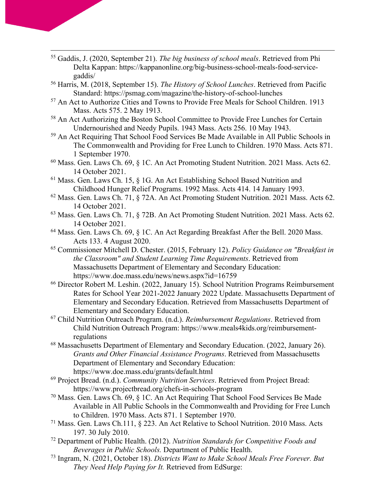- <sup>55</sup> Gaddis, J. (2020, September 21). *The big business of school meals*. Retrieved from Phi Delta Kappan: https://kappanonline.org/big-business-school-meals-food-servicegaddis/
- <sup>56</sup> Harris, M. (2018, September 15). *The History of School Lunches*. Retrieved from Pacific Standard: https://psmag.com/magazine/the-history-of-school-lunches
- <sup>57</sup> An Act to Authorize Cities and Towns to Provide Free Meals for School Children. 1913 Mass. Acts 575. 2 May 1913.
- <sup>58</sup> An Act Authorizing the Boston School Committee to Provide Free Lunches for Certain Undernourished and Needy Pupils. 1943 Mass. Acts 256. 10 May 1943.
- <sup>59</sup> An Act Requiring That School Food Services Be Made Available in All Public Schools in The Commonwealth and Providing for Free Lunch to Children. 1970 Mass. Acts 871. 1 September 1970.
- <sup>60</sup> Mass. Gen. Laws Ch. 69, § 1C. An Act Promoting Student Nutrition. 2021 Mass. Acts 62. 14 October 2021.
- <sup>61</sup> Mass. Gen. Laws Ch. 15, § 1G. An Act Establishing School Based Nutrition and Childhood Hunger Relief Programs. 1992 Mass. Acts 414. 14 January 1993.
- <sup>62</sup> Mass. Gen. Laws Ch. 71, § 72A. An Act Promoting Student Nutrition. 2021 Mass. Acts 62. 14 October 2021.
- <sup>63</sup> Mass. Gen. Laws Ch. 71, § 72B. An Act Promoting Student Nutrition. 2021 Mass. Acts 62. 14 October 2021.
- <sup>64</sup> Mass. Gen. Laws Ch. 69, § 1C. An Act Regarding Breakfast After the Bell. 2020 Mass. Acts 133. 4 August 2020.
- <sup>65</sup> Commissioner Mitchell D. Chester. (2015, February 12). *Policy Guidance on "Breakfast in the Classroom" and Student Learning Time Requirements*. Retrieved from Massachusetts Department of Elementary and Secondary Education: https://www.doe.mass.edu/news/news.aspx?id=16759
- <sup>66</sup> Director Robert M. Leshin. (2022, January 15). School Nutrition Programs Reimbursement Rates for School Year 2021-2022 January 2022 Update. Massachusetts Department of Elementary and Secondary Education. Retrieved from Massachusetts Department of Elementary and Secondary Education.
- <sup>67</sup> Child Nutrition Outreach Program. (n.d.). *Reimbursement Regulations*. Retrieved from Child Nutrition Outreach Program: https://www.meals4kids.org/reimbursementregulations
- <sup>68</sup> Massachusetts Department of Elementary and Secondary Education. (2022, January 26). *Grants and Other Financial Assistance Programs*. Retrieved from Massachusetts Department of Elementary and Secondary Education: https://www.doe.mass.edu/grants/default.html
- <sup>69</sup> Project Bread. (n.d.). *Community Nutrition Services*. Retrieved from Project Bread: https://www.projectbread.org/chefs-in-schools-program
- <sup>70</sup> Mass. Gen. Laws Ch. 69, § 1C. An Act Requiring That School Food Services Be Made Available in All Public Schools in the Commonwealth and Providing for Free Lunch to Children. 1970 Mass. Acts 871. 1 September 1970.
- <sup>71</sup> Mass. Gen. Laws Ch.111, § 223. An Act Relative to School Nutrition. 2010 Mass. Acts 197. 30 July 2010.
- <sup>72</sup> Department of Public Health. (2012). *Nutrition Standards for Competitive Foods and Beverages in Public Schools.* Department of Public Health.
- <sup>73</sup> Ingram, N. (2021, October 18). *Districts Want to Make School Meals Free Forever. But They Need Help Paying for It.* Retrieved from EdSurge: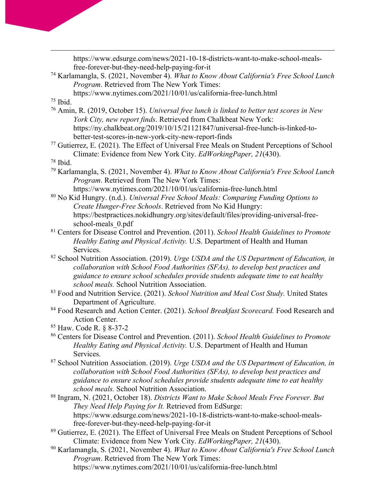https://www.edsurge.com/news/2021-10-18-districts-want-to-make-school-mealsfree-forever-but-they-need-help-paying-for-it <sup>74</sup> Karlamangla, S. (2021, November 4). *What to Know About California's Free School Lunch Program*. Retrieved from The New York Times: https://www.nytimes.com/2021/10/01/us/california-free-lunch.html  $75$  Ibid. <sup>76</sup> Amin, R. (2019, October 15). *Universal free lunch is linked to better test scores in New York City, new report finds*. Retrieved from Chalkbeat New York: https://ny.chalkbeat.org/2019/10/15/21121847/universal-free-lunch-is-linked-tobetter-test-scores-in-new-york-city-new-report-finds <sup>77</sup> Gutierrez, E. (2021). The Effect of Universal Free Meals on Student Perceptions of School Climate: Evidence from New York City. *EdWorkingPaper, 21*(430). <sup>78</sup> Ibid. <sup>79</sup> Karlamangla, S. (2021, November 4). *What to Know About California's Free School Lunch Program*. Retrieved from The New York Times: https://www.nytimes.com/2021/10/01/us/california-free-lunch.html <sup>80</sup> No Kid Hungry. (n.d.). *Universal Free School Meals: Comparing Funding Options to Create Hunger-Free Schools*. Retrieved from No Kid Hungry: https://bestpractices.nokidhungry.org/sites/default/files/providing-universal-freeschool-meals\_0.pdf <sup>81</sup> Centers for Disease Control and Prevention. (2011). *School Health Guidelines to Promote* 

*Healthy Eating and Physical Activity.* U.S. Department of Health and Human Services.

<sup>82</sup> School Nutrition Association. (2019). *Urge USDA and the US Department of Education, in collaboration with School Food Authorities (SFAs), to develop best practices and guidance to ensure school schedules provide students adequate time to eat healthy school meals.* School Nutrition Association.

<sup>83</sup> Food and Nutrition Service. (2021). *School Nutrition and Meal Cost Study.* United States Department of Agriculture.

<sup>84</sup> Food Research and Action Center. (2021). *School Breakfast Scorecard.* Food Research and Action Center.

<sup>85</sup> Haw. Code R. § 8-37-2

<sup>86</sup> Centers for Disease Control and Prevention. (2011). *School Health Guidelines to Promote Healthy Eating and Physical Activity.* U.S. Department of Health and Human Services.

<sup>87</sup> School Nutrition Association. (2019). *Urge USDA and the US Department of Education, in collaboration with School Food Authorities (SFAs), to develop best practices and guidance to ensure school schedules provide students adequate time to eat healthy school meals.* School Nutrition Association.

<sup>88</sup> Ingram, N. (2021, October 18). *Districts Want to Make School Meals Free Forever. But They Need Help Paying for It.* Retrieved from EdSurge: https://www.edsurge.com/news/2021-10-18-districts-want-to-make-school-mealsfree-forever-but-they-need-help-paying-for-it

<sup>89</sup> Gutierrez, E. (2021). The Effect of Universal Free Meals on Student Perceptions of School Climate: Evidence from New York City. *EdWorkingPaper, 21*(430).

<sup>90</sup> Karlamangla, S. (2021, November 4). *What to Know About California's Free School Lunch Program*. Retrieved from The New York Times: https://www.nytimes.com/2021/10/01/us/california-free-lunch.html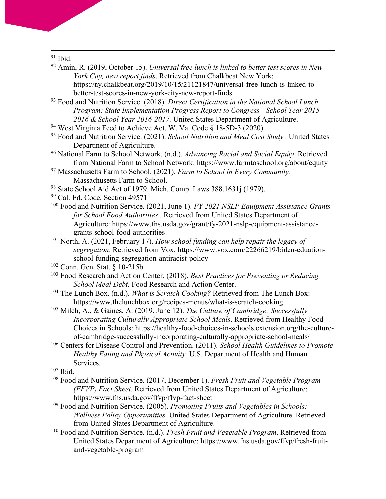<sup>91</sup> Ibid.

- <sup>92</sup> Amin, R. (2019, October 15). *Universal free lunch is linked to better test scores in New York City, new report finds*. Retrieved from Chalkbeat New York: https://ny.chalkbeat.org/2019/10/15/21121847/universal-free-lunch-is-linked-tobetter-test-scores-in-new-york-city-new-report-finds
- <sup>93</sup> Food and Nutrition Service. (2018). *Direct Certification in the National School Lunch Program: State Implementation Progress Report to Congress - School Year 2015- 2016 & School Year 2016-2017.* United States Department of Agriculture.
- <sup>94</sup> West Virginia Feed to Achieve Act. W. Va. Code § 18-5D-3 (2020)
- <sup>95</sup> Food and Nutrition Service. (2021). *School Nutrition and Meal Cost Study .* United States Department of Agriculture.
- <sup>96</sup> National Farm to School Network. (n.d.). *Advancing Racial and Social Equity*. Retrieved from National Farm to School Network: https://www.farmtoschool.org/about/equity
- <sup>97</sup> Massachusetts Farm to School. (2021). *Farm to School in Every Community.* Massachusetts Farm to School.
- <sup>98</sup> State School Aid Act of 1979. Mich. Comp. Laws 388.1631j (1979).
- <sup>99</sup> Cal. Ed. Code, Section 49571
- <sup>100</sup> Food and Nutrition Service. (2021, June 1). *FY 2021 NSLP Equipment Assistance Grants for School Food Authorities* . Retrieved from United States Department of Agriculture: https://www.fns.usda.gov/grant/fy-2021-nslp-equipment-assistancegrants-school-food-authorities
- <sup>101</sup> North, A. (2021, February 17). *How school funding can help repair the legacy of segregation*. Retrieved from Vox: https://www.vox.com/22266219/biden-eduationschool-funding-segregation-antiracist-policy
- <sup>102</sup> Conn. Gen. Stat. § 10-215b.
- <sup>103</sup> Food Research and Action Center. (2018). *Best Practices for Preventing or Reducing School Meal Debt.* Food Research and Action Center.
- <sup>104</sup> The Lunch Box. (n.d.). *What is Scratch Cooking?* Retrieved from The Lunch Box: https://www.thelunchbox.org/recipes-menus/what-is-scratch-cooking
- <sup>105</sup> Milch, A., & Gaines, A. (2019, June 12). *The Culture of Cambridge: Successfully Incorporating Culturally Appropriate School Meals*. Retrieved from Healthy Food Choices in Schools: https://healthy-food-choices-in-schools.extension.org/the-cultureof-cambridge-successfully-incorporating-culturally-appropriate-school-meals/
- <sup>106</sup> Centers for Disease Control and Prevention. (2011). *School Health Guidelines to Promote Healthy Eating and Physical Activity.* U.S. Department of Health and Human Services.
- <sup>107</sup> Ibid.
- <sup>108</sup> Food and Nutrition Service. (2017, December 1). *Fresh Fruit and Vegetable Program (FFVP) Fact Sheet*. Retrieved from United States Department of Agriculture: https://www.fns.usda.gov/ffvp/ffvp-fact-sheet
- <sup>109</sup> Food and Nutrition Service. (2005). *Promoting Fruits and Vegetables in Schools: Wellness Policy Opportunities.* United States Department of Agriculture. Retrieved from United States Department of Agriculture.
- <sup>110</sup> Food and Nutrition Service. (n.d.). *Fresh Fruit and Vegetable Program*. Retrieved from United States Department of Agriculture: https://www.fns.usda.gov/ffvp/fresh-fruitand-vegetable-program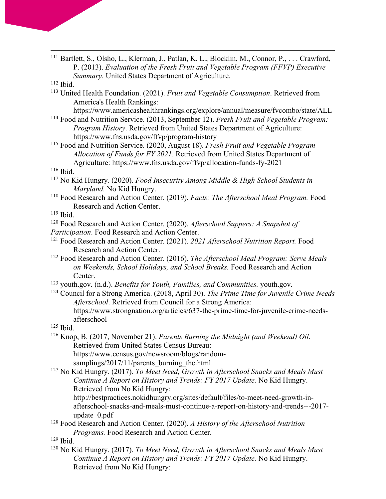| <sup>111</sup> Bartlett, S., Olsho, L., Klerman, J., Patlan, K. L., Blocklin, M., Connor, P.,  Crawford, |
|----------------------------------------------------------------------------------------------------------|
| P. (2013). Evaluation of the Fresh Fruit and Vegetable Program (FFVP) Executive                          |
| Summary. United States Department of Agriculture.                                                        |

- $112$  Ibid.
- <sup>113</sup> United Health Foundation. (2021). *Fruit and Vegetable Consumption*. Retrieved from America's Health Rankings:
	- https://www.americashealthrankings.org/explore/annual/measure/fvcombo/state/ALL
- <sup>114</sup> Food and Nutrition Service. (2013, September 12). *Fresh Fruit and Vegetable Program: Program History*. Retrieved from United States Department of Agriculture: https://www.fns.usda.gov/ffvp/program-history
- <sup>115</sup> Food and Nutrition Service. (2020, August 18). *Fresh Fruit and Vegetable Program Allocation of Funds for FY 2021*. Retrieved from United States Department of Agriculture: https://www.fns.usda.gov/ffvp/allocation-funds-fy-2021

## <sup>116</sup> Ibid.

- <sup>117</sup> No Kid Hungry. (2020). *Food Insecurity Among Middle & High School Students in Maryland.* No Kid Hungry.
- <sup>118</sup> Food Research and Action Center. (2019). *Facts: The Afterschool Meal Program.* Food Research and Action Center.
- $119$  Ibid.
- <sup>120</sup> Food Research and Action Center. (2020). *Afterschool Suppers: A Snapshot of Participation*. Food Research and Action Center.
- <sup>121</sup> Food Research and Action Center. (2021). *2021 Afterschool Nutrition Report.* Food Research and Action Center.
- <sup>122</sup> Food Research and Action Center. (2016). *The Afterschool Meal Program: Serve Meals on Weekends, School Holidays, and School Breaks.* Food Research and Action Center.
- <sup>123</sup> youth.gov. (n.d.). *Benefits for Youth, Families, and Communities.* youth.gov.
- <sup>124</sup> Council for a Strong America. (2018, April 30). *The Prime Time for Juvenile Crime Needs Afterschool*. Retrieved from Council for a Strong America: https://www.strongnation.org/articles/637-the-prime-time-for-juvenile-crime-needsafterschool
- <sup>125</sup> Ibid.
- <sup>126</sup> Knop, B. (2017, November 21). *Parents Burning the Midnight (and Weekend) Oil*. Retrieved from United States Census Bureau: https://www.census.gov/newsroom/blogs/random-
- samplings/2017/11/parents burning the.html <sup>127</sup> No Kid Hungry. (2017). *To Meet Need, Growth in Afterschool Snacks and Meals Must Continue A Report on History and Trends: FY 2017 Update.* No Kid Hungry.
	- Retrieved from No Kid Hungry:

http://bestpractices.nokidhungry.org/sites/default/files/to-meet-need-growth-inafterschool-snacks-and-meals-must-continue-a-report-on-history-and-trends---2017 update\_0.pdf

- <sup>128</sup> Food Research and Action Center. (2020). *A History of the Afterschool Nutrition Programs.* Food Research and Action Center.
- <sup>129</sup> Ibid.
- <sup>130</sup> No Kid Hungry. (2017). *To Meet Need, Growth in Afterschool Snacks and Meals Must Continue A Report on History and Trends: FY 2017 Update.* No Kid Hungry. Retrieved from No Kid Hungry: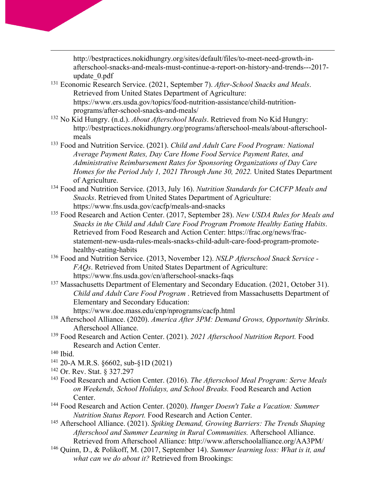http://bestpractices.nokidhungry.org/sites/default/files/to-meet-need-growth-inafterschool-snacks-and-meals-must-continue-a-report-on-history-and-trends---2017 update\_0.pdf

- <sup>131</sup> Economic Research Service. (2021, September 7). *After-School Snacks and Meals*. Retrieved from United States Department of Agriculture: https://www.ers.usda.gov/topics/food-nutrition-assistance/child-nutritionprograms/after-school-snacks-and-meals/
- <sup>132</sup> No Kid Hungry. (n.d.). *About Afterschool Meals*. Retrieved from No Kid Hungry: http://bestpractices.nokidhungry.org/programs/afterschool-meals/about-afterschoolmeals
- <sup>133</sup> Food and Nutrition Service. (2021). *Child and Adult Care Food Program: National Average Payment Rates, Day Care Home Food Service Payment Rates, and Administrative Reimbursement Rates for Sponsoring Organizations of Day Care Homes for the Period July 1, 2021 Through June 30, 2022.* United States Department of Agriculture.
- <sup>134</sup> Food and Nutrition Service. (2013, July 16). *Nutrition Standards for CACFP Meals and Snacks*. Retrieved from United States Department of Agriculture: https://www.fns.usda.gov/cacfp/meals-and-snacks
- <sup>135</sup> Food Research and Action Center. (2017, September 28). *New USDA Rules for Meals and Snacks in the Child and Adult Care Food Program Promote Healthy Eating Habits*. Retrieved from Food Research and Action Center: https://frac.org/news/fracstatement-new-usda-rules-meals-snacks-child-adult-care-food-program-promotehealthy-eating-habits
- <sup>136</sup> Food and Nutrition Service. (2013, November 12). *NSLP Afterschool Snack Service - FAQs*. Retrieved from United States Department of Agriculture: https://www.fns.usda.gov/cn/afterschool-snacks-faqs
- <sup>137</sup> Massachusetts Department of Elementary and Secondary Education. (2021, October 31). *Child and Adult Care Food Program* . Retrieved from Massachusetts Department of Elementary and Secondary Education:
	- https://www.doe.mass.edu/cnp/nprograms/cacfp.html
- <sup>138</sup> Afterschool Alliance. (2020). *America After 3PM: Demand Grows, Opportunity Shrinks.* Afterschool Alliance.
- <sup>139</sup> Food Research and Action Center. (2021). *2021 Afterschool Nutrition Report.* Food Research and Action Center.
- <sup>140</sup> Ibid.
- <sup>141</sup> 20-A M.R.S. §6602, sub-§1D (2021)
- <sup>142</sup> Or. Rev. Stat. § 327.297
- <sup>143</sup> Food Research and Action Center. (2016). *The Afterschool Meal Program: Serve Meals on Weekends, School Holidays, and School Breaks.* Food Research and Action Center.
- <sup>144</sup> Food Research and Action Center. (2020). *Hunger Doesn't Take a Vacation: Summer Nutrition Status Report.* Food Research and Action Center.
- <sup>145</sup> Afterschool Alliance. (2021). *Spiking Demand, Growing Barriers: The Trends Shaping Afterschool and Summer Learning in Rural Communities.* Afterschool Alliance. Retrieved from Afterschool Alliance: http://www.afterschoolalliance.org/AA3PM/
- <sup>146</sup> Quinn, D., & Polikoff, M. (2017, September 14). *Summer learning loss: What is it, and what can we do about it?* Retrieved from Brookings: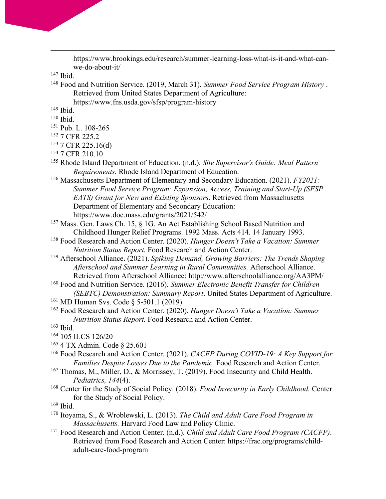https://www.brookings.edu/research/summer-learning-loss-what-is-it-and-what-canwe-do-about-it/

<sup>147</sup> Ibid.

<sup>148</sup> Food and Nutrition Service. (2019, March 31). *Summer Food Service Program History* . Retrieved from United States Department of Agriculture:

https://www.fns.usda.gov/sfsp/program-history

<sup>149</sup> Ibid.

- <sup>150</sup> Ibid.
- <sup>151</sup> Pub. L. 108-265
- <sup>152</sup> 7 CFR 225.2
- <sup>153</sup> 7 CFR 225.16(d)
- <sup>154</sup> 7 CFR 210.10
- <sup>155</sup> Rhode Island Department of Education. (n.d.). *Site Supervisor's Guide: Meal Pattern Requirements.* Rhode Island Department of Education.
- <sup>156</sup> Massachusetts Department of Elementary and Secondary Education. (2021). *FY2021: Summer Food Service Program: Expansion, Access, Training and Start-Up (SFSP EATS) Grant for New and Existing Sponsors*. Retrieved from Massachusetts Department of Elementary and Secondary Education: https://www.doe.mass.edu/grants/2021/542/
- <sup>157</sup> Mass. Gen. Laws Ch. 15, § 1G. An Act Establishing School Based Nutrition and Childhood Hunger Relief Programs. 1992 Mass. Acts 414. 14 January 1993.
- <sup>158</sup> Food Research and Action Center. (2020). *Hunger Doesn't Take a Vacation: Summer Nutrition Status Report.* Food Research and Action Center.
- <sup>159</sup> Afterschool Alliance. (2021). *Spiking Demand, Growing Barriers: The Trends Shaping Afterschool and Summer Learning in Rural Communities.* Afterschool Alliance. Retrieved from Afterschool Alliance: http://www.afterschoolalliance.org/AA3PM/
- <sup>160</sup> Food and Nutrition Service. (2016). *Summer Electronic Benefit Transfer for Children (SEBTC) Demonstration: Summary Report*. United States Department of Agriculture.
- <sup>161</sup> MD Human Svs. Code § 5-501.1 (2019)
- <sup>162</sup> Food Research and Action Center. (2020). *Hunger Doesn't Take a Vacation: Summer Nutrition Status Report.* Food Research and Action Center.
- <sup>163</sup> Ibid.
- <sup>164</sup> 105 ILCS 126/20
- <sup>165</sup> 4 TX Admin. Code § 25.601
- <sup>166</sup> Food Research and Action Center. (2021). *CACFP During COVID-19: A Key Support for Families Despite Losses Due to the Pandemic.* Food Research and Action Center.
- <sup>167</sup> Thomas, M., Miller, D., & Morrissey, T. (2019). Food Insecurity and Child Health. *Pediatrics, 144*(4).
- <sup>168</sup> Center for the Study of Social Policy. (2018). *Food Insecurity in Early Childhood.* Center for the Study of Social Policy.

- <sup>170</sup> Itoyama, S., & Wroblewski, L. (2013). *The Child and Adult Care Food Program in Massachusetts.* Harvard Food Law and Policy Clinic.
- <sup>171</sup> Food Research and Action Center. (n.d.). *Child and Adult Care Food Program (CACFP)*. Retrieved from Food Research and Action Center: https://frac.org/programs/childadult-care-food-program

<sup>169</sup> Ibid.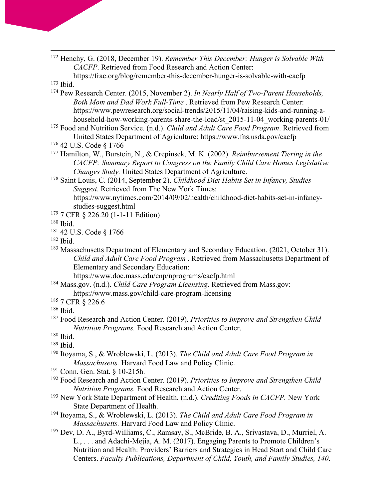<sup>172</sup> Henchy, G. (2018, December 19). *Remember This December: Hunger is Solvable With CACFP*. Retrieved from Food Research and Action Center:

```
https://frac.org/blog/remember-this-december-hunger-is-solvable-with-cacfp
173 Ibid.
```
- <sup>174</sup> Pew Research Center. (2015, November 2). *In Nearly Half of Two-Parent Households, Both Mom and Dad Work Full-Time* . Retrieved from Pew Research Center: https://www.pewresearch.org/social-trends/2015/11/04/raising-kids-and-running-ahousehold-how-working-parents-share-the-load/st 2015-11-04 working-parents-01/
- <sup>175</sup> Food and Nutrition Service. (n.d.). *Child and Adult Care Food Program*. Retrieved from United States Department of Agriculture: https://www.fns.usda.gov/cacfp
- <sup>176</sup> 42 U.S. Code § 1766
- <sup>177</sup> Hamilton, W., Burstein, N., & Crepinsek, M. K. (2002). *Reimbursement Tiering in the CACFP: Summary Report to Congress on the Family Child Care Homes Legislative Changes Study.* United States Department of Agriculture.
- <sup>178</sup> Saint Louis, C. (2014, September 2). *Childhood Diet Habits Set in Infancy, Studies Suggest*. Retrieved from The New York Times: https://www.nytimes.com/2014/09/02/health/childhood-diet-habits-set-in-infancystudies-suggest.html
- <sup>179</sup> 7 CFR § 226.20 (1-1-11 Edition)

<sup>180</sup> Ibid.

<sup>181</sup> 42 U.S. Code § 1766

<sup>182</sup> Ibid.

<sup>183</sup> Massachusetts Department of Elementary and Secondary Education. (2021, October 31). *Child and Adult Care Food Program* . Retrieved from Massachusetts Department of Elementary and Secondary Education:

https://www.doe.mass.edu/cnp/nprograms/cacfp.html

- <sup>184</sup> Mass.gov. (n.d.). *Child Care Program Licensing*. Retrieved from Mass.gov:
	- https://www.mass.gov/child-care-program-licensing
- <sup>185</sup> 7 CFR § 226.6

<sup>186</sup> Ibid.

<sup>187</sup> Food Research and Action Center. (2019). *Priorities to Improve and Strengthen Child Nutrition Programs.* Food Research and Action Center.

- <sup>190</sup> Itoyama, S., & Wroblewski, L. (2013). *The Child and Adult Care Food Program in Massachusetts.* Harvard Food Law and Policy Clinic.
- <sup>191</sup> Conn. Gen. Stat. § 10-215h.
- <sup>192</sup> Food Research and Action Center. (2019). *Priorities to Improve and Strengthen Child Nutrition Programs.* Food Research and Action Center.
- <sup>193</sup> New York State Department of Health. (n.d.). *Crediting Foods in CACFP.* New York State Department of Health.
- <sup>194</sup> Itoyama, S., & Wroblewski, L. (2013). *The Child and Adult Care Food Program in Massachusetts.* Harvard Food Law and Policy Clinic.
- <sup>195</sup> Dev, D. A., Byrd-Williams, C., Ramsay, S., McBride, B. A., Srivastava, D., Murriel, A. L., . . . and Adachi-Mejia, A. M. (2017). Engaging Parents to Promote Children's Nutrition and Health: Providers' Barriers and Strategies in Head Start and Child Care Centers. *Faculty Publications, Department of Child, Youth, and Family Studies, 140*.

<sup>188</sup> Ibid.

<sup>189</sup> Ibid.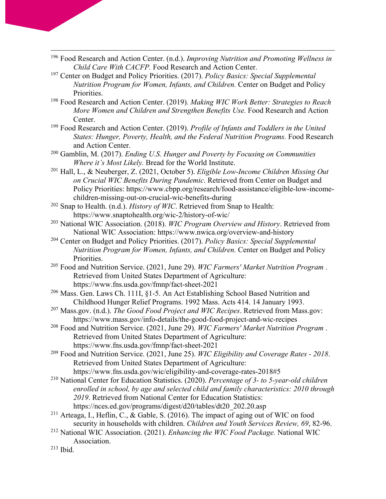- <sup>196</sup> Food Research and Action Center. (n.d.). *Improving Nutrition and Promoting Wellness in Child Care With CACFP.* Food Research and Action Center.
- <sup>197</sup> Center on Budget and Policy Priorities. (2017). *Policy Basics: Special Supplemental Nutrition Program for Women, Infants, and Children.* Center on Budget and Policy Priorities.
- <sup>198</sup> Food Research and Action Center. (2019). *Making WIC Work Better: Strategies to Reach More Women and Children and Strengthen Benefits Use.* Food Research and Action Center.
- <sup>199</sup> Food Research and Action Center. (2019). *Profile of Infants and Toddlers in the United States: Hunger, Poverty, Health, and the Federal Nutrition Programs.* Food Research and Action Center.
- <sup>200</sup> Gamblin, M. (2017). *Ending U.S. Hunger and Poverty by Focusing on Communities Where it's Most Likely.* Bread for the World Institute.
- <sup>201</sup> Hall, L., & Neuberger, Z. (2021, October 5). *Eligible Low-Income Children Missing Out on Crucial WIC Benefits During Pandemic*. Retrieved from Center on Budget and Policy Priorities: https://www.cbpp.org/research/food-assistance/eligible-low-incomechildren-missing-out-on-crucial-wic-benefits-during
- <sup>202</sup> Snap to Health. (n.d.). *History of WIC*. Retrieved from Snap to Health: https://www.snaptohealth.org/wic-2/history-of-wic/
- <sup>203</sup> National WIC Association. (2018). *WIC Program Overview and History*. Retrieved from National WIC Association: https://www.nwica.org/overview-and-history
- <sup>204</sup> Center on Budget and Policy Priorities. (2017). *Policy Basics: Special Supplemental Nutrition Program for Women, Infants, and Children.* Center on Budget and Policy Priorities.
- <sup>205</sup> Food and Nutrition Service. (2021, June 29). *WIC Farmers' Market Nutrition Program* . Retrieved from United States Department of Agriculture: https://www.fns.usda.gov/fmnp/fact-sheet-2021
- <sup>206</sup> Mass. Gen. Laws Ch. 111I, §1-5. An Act Establishing School Based Nutrition and Childhood Hunger Relief Programs. 1992 Mass. Acts 414. 14 January 1993.
- <sup>207</sup> Mass.gov. (n.d.). *The Good Food Project and WIC Recipes*. Retrieved from Mass.gov: https://www.mass.gov/info-details/the-good-food-project-and-wic-recipes
- <sup>208</sup> Food and Nutrition Service. (2021, June 29). *WIC Farmers' Market Nutrition Program* . Retrieved from United States Department of Agriculture: https://www.fns.usda.gov/fmnp/fact-sheet-2021
- <sup>209</sup> Food and Nutrition Service. (2021, June 25). *WIC Eligibility and Coverage Rates - 2018*. Retrieved from United States Department of Agriculture: https://www.fns.usda.gov/wic/eligibility-and-coverage-rates-2018#5
- <sup>210</sup> National Center for Education Statistics. (2020). *Percentage of 3- to 5-year-old children enrolled in school, by age and selected child and family characteristics: 2010 through 2019*. Retrieved from National Center for Education Statistics: https://nces.ed.gov/programs/digest/d20/tables/dt20\_202.20.asp
- <sup>211</sup> Arteaga, I., Heflin, C., & Gable, S. (2016). The impact of aging out of WIC on food security in households with children. *Children and Youth Services Review, 69*, 82-96.
- <sup>212</sup> National WIC Association. (2021). *Enhancing the WIC Food Package.* National WIC Association.
- <sup>213</sup> Ibid.